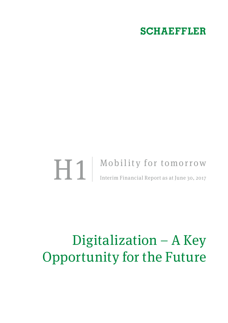## **SCHAEFFLER**

# **H1** Mobility for tomorrow Interim Financial Report as at June 30, 2017 Interim Financial Report as at June 30, 2017

# Digitalization – A Key Opportunity for the Future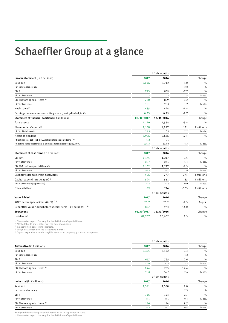# <span id="page-1-1"></span><span id="page-1-0"></span>Schaeffler Group at a glance

|                                                                             |            | $1st$ six months |         |                     |
|-----------------------------------------------------------------------------|------------|------------------|---------|---------------------|
| Income statement (in $\epsilon$ millions)                                   | 2017       | 2016             |         | Change              |
| Revenue                                                                     | 7,046      | 6,712            | 5.0     | $\%$                |
| • at constant currency                                                      |            |                  | 3.8     | $\%$                |
| EBIT                                                                        | 793        | 859              | $-7.7$  | $\%$                |
| • in % of revenue                                                           | 11.3       | 12.8             | $-1.5$  | %-pts.              |
| EBIT before special items <sup>1)</sup>                                     | 780        | 859              | $-9.2$  | %                   |
| • in % of revenue                                                           | 11.1       | 12.8             | $-1.7$  | %-pts.              |
| Net income $2$                                                              | 485        | 494              | $-1.8$  | %                   |
| Earnings per common non-voting share (basic/diluted, in $\epsilon$ )        | 0.73       | 0.75             | $-2.7$  | %                   |
| Statement of financial position (in $\epsilon$ millions)                    | 06/30/2017 | 12/31/2016       |         | Change              |
| <b>Total assets</b>                                                         | 11,120     | 11,564           | $-3.8$  | %                   |
| Shareholders' equity $3$ )                                                  | 2,168      | 1,997            | 171     | $\epsilon$ millions |
| . in % of total assets                                                      | 19.5       | 17.3             | 2.2     | %-pts.              |
| Net financial debt                                                          | 2,956      | 2,636            | 12.1    | %                   |
| . Net financial debt to EBITDA ratio before special items 1) 4)             | 1.2        | 1.1              |         |                     |
| · Gearing Ratio (Net financial debt to shareholders' equity, in %)          | 136.3      | 132.0            | 4.3     | %-pts.              |
|                                                                             |            | $1st$ six months |         |                     |
| Statement of cash flows (in $\epsilon$ millions)                            | 2017       | 2016             |         | Change              |
| <b>EBITDA</b>                                                               | 1,175      | 1,217            | $-3.5$  | $\%$                |
| • in % of revenue                                                           | 16.7       | 18.1             | $-1.4$  | %-pts.              |
| EBITDA before special items <sup>1)</sup>                                   | 1,162      | 1,217            | $-4.5$  | %                   |
| • in % of revenue                                                           | 16.5       | 18.1             | $-1.6$  | %-pts.              |
| Cash flows from operating activities                                        | 506        | 777              | $-271$  | $\epsilon$ millions |
| Capital expenditures (capex) <sup>5)</sup>                                  | 594        | 561              | 33      | $\epsilon$ millions |
| • in % of revenue (capex ratio)                                             | 8.4        | 8.4              | 0.0     | %-pts.              |
| Free cash flow                                                              | $-89$      | 216              | $-305$  | $\epsilon$ millions |
|                                                                             |            | $1st$ six months |         |                     |
| <b>Value Added</b>                                                          | 2017       | 2016             |         | Change              |
| ROCE before special items (in %) <sup>1)4)</sup>                            | 20.7       | 23.2             | $-2.5$  | %-pts.              |
| Schaeffler Value Added before special items (in € millions) <sup>1)4)</sup> | 837        | 973              | $-14.0$ | %                   |
| <b>Employees</b>                                                            | 06/30/2017 | 12/31/2016       |         | Change              |
| Headcount                                                                   | 87,937     | 86,662           | 1.5     | $\%$                |

<sup>1)</sup> Please refer to [pp. 17](#page-16-0) et seq. for the definition of special items.<br><sup>2)</sup> Attributable to shareholders of the parent company.<br><sup>3)</sup> Including non-controlling interests.<br><sup>4)</sup> EBIT/EBITDA based on the last twelve months.

5) Capital expenditures on intangible assets and property, plant and equipment.

|                                         |       | $1st$ six months |         |               |  |  |
|-----------------------------------------|-------|------------------|---------|---------------|--|--|
| Automotive (in $\epsilon$ millions)     | 2017  | 2016             |         | Change        |  |  |
| Revenue                                 | 5,455 | 5,182            | 5.3     | $\%$          |  |  |
| • at constant currency                  |       |                  | 4.2     | $\frac{0}{2}$ |  |  |
| <b>EBIT</b>                             | 657   | 735              | $-10.6$ | $\%$          |  |  |
| • in % of revenue                       | 12.0  | 14.2             | $-2.2$  | %-pts.        |  |  |
| EBIT before special items <sup>1)</sup> | 644   | 735              | $-12.4$ | $\frac{0}{0}$ |  |  |
| • in % of revenue                       | 11.8  | 14.2             | $-2.4$  | $%$ -pts.     |  |  |
|                                         |       | $1st$ six months |         |               |  |  |
| Industrial (in $\epsilon$ millions)     | 2017  | 2016             |         | Change        |  |  |
| Revenue                                 | 1,591 | 1,530            | 4.0     | $\%$          |  |  |
| • at constant currency                  |       |                  | 2.3     | %             |  |  |
| EBIT                                    | 136   | 124              | 9.7     | $\%$          |  |  |
| • in % of revenue                       | 8.5   | 8.1              | 0.4     | $%$ -pts.     |  |  |
| EBIT before special items <sup>1)</sup> | 136   | 124              | 9.7     | $\%$          |  |  |
| • in % of revenue                       | 8.5   | 8.1              | 0.4     | $% -pts.$     |  |  |

Prior year information presented based on 2017 segment structure. 1) Please refer to [pp. 17](#page-16-0) et seq. for the definition of special items.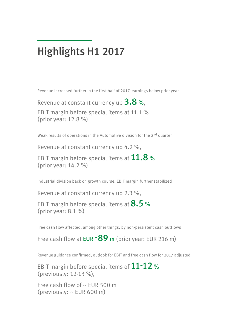## <span id="page-2-0"></span>Highlights H1 2017

Revenue increased further in the first half of 2017, earnings below prior year

Revenue at constant currency up 3.8 %,

EBIT margin before special items at 11.1 % (prior year: 12.8 %)

Weak results of operations in the Automotive division for the 2nd quarter

Revenue at constant currency up 4.2 %,

EBIT margin before special items at  $11.8$  % (prior year: 14.2 %)

Industrial division back on growth course, EBIT margin further stabilized

Revenue at constant currency up 2.3 %,

EBIT margin before special items at  $8.5$  % (prior year: 8.1 %)

Free cash flow affected, among other things, by non-persistent cash outflows

Free cash flow at **EUR -89** m (prior year: EUR 216 m)

Revenue guidance confirmed, outlook for EBIT and free cash flow for 2017 adjusted

EBIT margin before special items of 11-12 % (previously: 12-13 %),

Free cash flow of  $\sim$  EUR 500 m (previously: ~ EUR 600 m)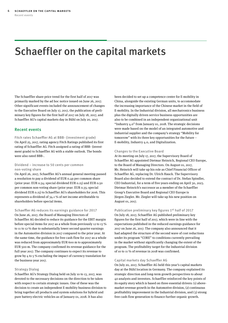# <span id="page-3-0"></span>Schaeffler on the capital markets

The Schaeffler share price trend for the first half of 2017 was primarily marked by the ad hoc notice issued on June 26, 2017. Other significant events included the announcement of changes to the Executive Board on July 17, 2017, the publication of preliminary key figures for the first half of 2017 on July 18, 2017, and Schaeffler AG's capital markets day in Bühl on July 20, 2017.

#### Recent events

Fitch rates Schaeffler AG at BBB- (investment grade) On April 25, 2017, rating agency Fitch Ratings published its first rating of Schaeffler AG. Fitch assigned a rating of BBB- (investment grade) to Schaeffler AG with a stable outlook. The bonds were also rated BBB-.

#### Dividend – increase to 50 cents per common non-voting share

On April 26, 2017, Schaeffler AG's annual general meeting passed a resolution to pay a dividend of EUR 0.49 per common share (prior year: EUR 0.34; special dividend EUR 0.15) and EUR 0.50 per common non-voting share (prior year: EUR 0.35; special dividend EUR 0.15) to Schaeffler AG's shareholders for 2016. This represents a dividend of 34.1 % of net income attributable to shareholders before special items.

Schaeffler AG reduces its earnings guidance for 2017 On June 26, 2017, the Board of Managing Directors of Schaeffler AG decided to reduce its guidance for the EBIT margin before special items for 2017 as a whole from previously 12 to 13 % to 11 to 12 % due to substantially lower second quarter earnings in the Automotive division in 2017 compared to the prior year. At the same time, the guidance for free cash flow for 2017 as a whole was reduced from approximately EUR 600 m to approximately EUR 500 m. The company confirmed its revenue guidance for the full year 2017. The company continues to expect its revenue to grow by 4 to 5 % excluding the impact of currency translation for the business year 2017.

#### Strategy Dialog

Schaeffler AG's Strategy Dialog held on July 10 to 13, 2017, was devoted to the necessary decisions on the direction to be taken with respect to certain strategic issues. One of these was the decision to create an independent E-mobility business division to bring together all products and system solutions for hybrid and pure battery electric vehicles as of January 01, 2018. It has also

been decided to set up a competence center for E-mobility in China, alongside the existing German units, to accommodate the increasing importance of the Chinese market in the field of E-mobility. In the Industrial division, all mechatronics business plus the digitally driven service business opportunities are also to be combined in an independent organizational unit "Industry 4.0" from January 01, 2018. The strategic decisions were made based on the model of an integrated automotive and industrial supplier and the company's strategy "Mobility for tomorrow" with its three key opportunities for the future – E-mobility, Industry 4.0, and Digitalization.

#### Changes to the Executive Board

At its meeting on July 17, 2017, the Supervisory Board of Schaeffler AG appointed Dietmar Heinrich, Regional CEO Europe, to the Board of Managing Directors. On August 01, 2017, Mr. Heinrich will take up his role as Chief Financial Officer of Schaeffler AG, replacing Dr. Ulrich Hauck. The Supervisory Board also decided to extend the contract of Dr. Stefan Spindler, CEO Industrial, for a term of five years ending on April 30, 2023. Dietmar Heinrich's successor as a member of the Schaeffler Group's Executive Board and Regional CEO Europe is Jürgen Ziegler. Mr. Ziegler will take up his new position on August 01, 2017.

#### Publication preliminary key figures 1st half of 2017

On July 18, 2017, Schaeffler AG published preliminary key figures for the first half of 2017, which were in line with the expectations published in the reduced earnings guidance for 2017 on June 26, 2017. The company also announced that it had adapted the structure of the second wave of cost reductions under its program "CORE" to conditions currently prevailing in the market without significantly changing the extent of the program. The profitability target for the Industrial division of 10 to 11 % of revenue in 2018 was confirmed.

#### Capital markets day Schaeffler AG

On July 20, 2017, Schaeffler AG held this year's capital markets day at the Bühl location in Germany. The company explained its strategic direction and long-term growth perspectives to about 40 analysts and investors. Schaeffler reinforced the key points of its equity story which is based on three essential drivers: (1) abovemarket revenue growth in the Automotive division, (2) continuous profitability improvement in the Industrial division, and (3) strong free cash flow generation to finance further organic growth.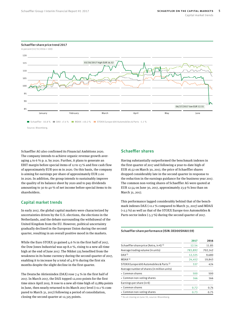

<span id="page-4-0"></span>Schaeffler share price trend 2017

Schaeffler AG also confirmed its Financial Ambitions 2020. The company intends to achieve organic revenue growth averaging 4 to 6 % p. a. by 2020. Further, it plans to generate an EBIT margin before special items of 12 to 13 % and free cash flow of approximately EUR 900 m in 2020. On this basis, the company is aiming for earnings per share of approximately EUR 2.00 in 2020. In addition, the group intends to sustainably improve the quality of its balance sheet by 2020 and to pay dividends amounting to 30 to 40 % of net income before special items to its shareholders.

#### Capital market trends

In early 2017, the global capital markets were characterized by uncertainties driven by the U.S. elections, the elections in the Netherlands, and the debate surrounding the withdrawal of the United Kingdom from the EU. However, political uncertainty gradually declined in the European Union during the second quarter, resulting in an overall positive mood in the markets.

While the Euro STOXX 50 gained 4.6 % in the first half of 2017, the Dow Jones Industrial was up 8.0 %, rising to a new all-time high at the end of June 2017. The Nikkei 225 benefited from the weakness in its home currency during the second quarter of 2017, enabling it to increase by a total of  $4.8\%$  during the first six months despite the slight decline in the first quarter.

The Deutsche Aktienindex (DAX) rose 7.4 % in the first half of 2017. In March 2017, the DAX topped 12,000 points for the first time since April 2015. It rose to a new all-time high of 12,889 points in June, then nearly returned to its March 2017 level (+0.1 % compared to March 31, 2017) following a period of consolidation, closing the second quarter at 12,325 points.

#### Schaeffler shares

Having substantially outperformed the benchmark indexes in the first quarter of 2017 and following a year-to-date high of EUR 16.52 on March 30, 2017, the price of Schaeffler shares dropped considerably late in the second quarter in response to the reduction in the earnings guidance for the business year 2017. The common non-voting shares of Schaeffler AG were quoted at EUR 12.54 on June 30, 2017, approximately 23.9 % less than on March 31, 2017.

This performance lagged considerably behind that of the benchmark indexes DAX (+0.1 % compared to March 31, 2017) and MDAX (+2.3 %) as well as that of the STOXX Europe 600 Automobiles & Parts sector index (-5.3 %) during the second quarter of 2017.

#### <span id="page-4-1"></span>Schaeffler share performance (ISIN: DE000SHA0159)

|                                                              | 2017    | 2016    |
|--------------------------------------------------------------|---------|---------|
| Schaeffler share price (Xetra, in $\epsilon$ ) <sup>1)</sup> | 12.54   | 11.85   |
| Average trading volume (in units)                            | 783,892 | 702,142 |
| DAX <sup>1</sup>                                             | 12,325  | 9,680   |
| MDAX <sup>1</sup>                                            | 24,452  | 19,843  |
| STOXX Europe 600 Automobiles & Parts <sup>1)</sup>           | 537     | 424     |
| Average number of shares (in million units)                  |         |         |
| • Common shares                                              | 500     | 500     |
| • Common non-voting shares                                   | 166     | 166     |
| Earnings per share (in $\epsilon$ )                          |         |         |
| • Common shares                                              | 0.72    | 0.74    |
| • Common non-voting shares                                   | 0.73    | 0.75    |

1) As at closing on June 30, source: Bloomberg.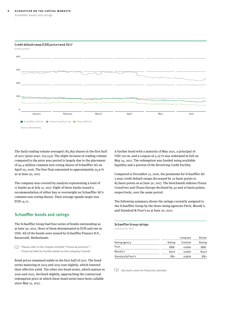#### **6** Schaeffler on the capital markets

Schaeffler bonds and ratings

<span id="page-5-0"></span>

The daily trading volume averaged 783,892 shares in the first half of 2017 (prior year: 702,142). The slight increase in trading volume compared to the prior year period is largely due to the placement of 94.4 million common non-voting shares of Schaeffler AG on April 05, 2016. The free float amounted to approximately 24.9 % as at June 30, 2017.

The company was covered by analysts representing a total of 17 banks as at July 31, 2017. Eight of these banks issued a recommendation of either buy or overweight on Schaeffler AG's common non-voting shares. Their average upside target was EUR 14.71.

#### Schaeffler bonds and ratings

The Schaeffler Group had four series of bonds outstanding as at June 30, 2017, three of them denominated in EUR and one in USD. All of the bonds were issued by Schaeffler Finance B.V., Barneveld, Netherlands.

 $\Box$  Please refer to the chapter entitled "Financial position" – Financial debt for further detail on the company's bonds.

Bond prices remained stable in the first half of 2017. The bond series maturing in 2023 and 2025 rose slightly, which lowered their effective yield. The other two bond series, which mature in 2020 and 2022, declined slightly, approaching the contractual redemption price at which these bond series have been callable since May 15, 2017.

A further bond with a maturity of May 2021, a principal of USD 700 m, and a coupon of 4.25 % was redeemed in full on May 24, 2017. The redemption was funded using available liquidity and a portion of the Revolving Credit Facility.

Compared to December 31, 2016, the premiums for Schaeffler AG 5-year credit default swaps decreased by 32 basis points to 85 basis points as at June 30, 2017. The benchmark indexes iTraxx CrossOver and iTraxx Europe declined by 40 and 16 basis points, respectively, over the same period.

The following summary shows the ratings currently assigned to the Schaeffler Group by the three rating agencies Fitch, Moody's, and Standard & Poor's as at June 30, 2017:

#### <span id="page-5-1"></span>Schaeffler Group ratings

at as June 30, 2017

|                   |        | Company | Bonds  |
|-------------------|--------|---------|--------|
| Rating agency     | Rating | Outlook | Rating |
| Fitch             | BBB-   | stable  | BBB-   |
| Moody's           | Baa3   | stable  | Baa3   |
| Standard & Poor's | $BB+$  | stable  | BB+    |

See back cover for financial calendar.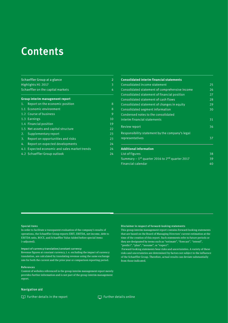## Contents

| Schaeffler Group at a glance<br>Highlights H1 2017<br>Schaeffler on the capital markets |                                                                                                                                                                                                                                                                   |  |
|-----------------------------------------------------------------------------------------|-------------------------------------------------------------------------------------------------------------------------------------------------------------------------------------------------------------------------------------------------------------------|--|
|                                                                                         |                                                                                                                                                                                                                                                                   |  |
| Report on the economic position                                                         | 8                                                                                                                                                                                                                                                                 |  |
|                                                                                         | 8                                                                                                                                                                                                                                                                 |  |
|                                                                                         | 9                                                                                                                                                                                                                                                                 |  |
|                                                                                         | 10                                                                                                                                                                                                                                                                |  |
|                                                                                         | 19                                                                                                                                                                                                                                                                |  |
|                                                                                         | 22                                                                                                                                                                                                                                                                |  |
| Supplementary report                                                                    | 23                                                                                                                                                                                                                                                                |  |
| Report on opportunities and risks                                                       | 23                                                                                                                                                                                                                                                                |  |
| Report on expected developments                                                         | 24                                                                                                                                                                                                                                                                |  |
|                                                                                         | 24                                                                                                                                                                                                                                                                |  |
|                                                                                         | 24                                                                                                                                                                                                                                                                |  |
|                                                                                         | Group interim management report<br>1.1 Economic environment<br>1.2 Course of business<br>1.3 Earnings<br>1.4 Financial position<br>1.5 Net assets and capital structure<br>2.<br>Expected economic and sales market trends<br>4.1<br>4.2 Schaeffler Group outlook |  |

| <b>Consolidated interim financial statements</b>                        |    |
|-------------------------------------------------------------------------|----|
| Consolidated income statement                                           | 25 |
| Consolidated statement of comprehensive income                          | 26 |
| Consolidated statement of financial position                            | 27 |
| Consolidated statement of cash flows                                    | 28 |
| Consolidated statement of changes in equity                             | 29 |
| Consolidated segment information                                        | 30 |
| Condensed notes to the consolidated                                     |    |
| interim financial statements                                            | 31 |
| <b>Review report</b>                                                    | 36 |
| Responsibility statement by the company's legal                         |    |
| representatives                                                         | 37 |
| <b>Additional information</b>                                           |    |
| List of figures                                                         | 38 |
| Summary $-1$ <sup>st</sup> quarter 2016 to 2 <sup>nd</sup> quarter 2017 | 39 |
| Financial calendar                                                      | 40 |

#### Special items

In order to facilitate a transparent evaluation of the company's results of operations, the Schaeffler Group reports EBIT, EBITDA, net income, debt to EBITDA ratio, ROCE, and Schaeffler Value Added before special items (=adjusted).

#### Impact of currency translation/constant currency

Revenue figures at constant currency, i. e. excluding the impact of currency translation, are calculated by translating revenue using the same exchange rate for both the current and the prior year or comparison reporting period.

#### References

Content of websites referenced in the group interim management report merely provides further information and is not part of the group interim management report.

#### Navigation aid

 $\square$  Further details in the report  $\square$  Further details online

#### Disclaimer in respect of forward-looking statements

This group interim management report contains forward-looking statements that are based on the Board of Managing Directors' current estimation at the time of the creation of this report. Such statements refer to future periods or they are designated by terms such as "estimate", "forecast", "intend", "predict", "plan", "assume", or "expect".

 Forward-looking statements bear risks and uncertainties. A variety of these risks and uncertainties are determined by factors not subject to the influence of the Schaeffler Group. Therefore, actual results can deviate substantially from those indicated.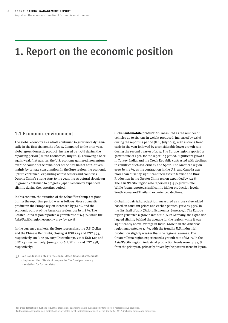## <span id="page-7-0"></span>1. Report on the economic position

### 1.1 Economic environment

The global economy as a whole continued to grow more dynamically in the first six months of 2017. Compared to the prior year, global gross domestic product<sup>1</sup> increased by 3.5 % during the reporting period (Oxford Economics, July 2017). Following a once again weak first quarter, the U.S. economy gathered momentum over the course of the remainder of the first half of 2017, driven mainly by private consumption. In the Euro region, the economic upturn continued, expanding across sectors and countries. Despite China's strong start to the year, the structural slowdown in growth continued to progress. Japan's economy expanded slightly during the reporting period.

In this context, the situation of the Schaeffler Group's regions during the reporting period was as follows: Gross domestic product in the Europe region increased by 3.2 %, and the economic output of the Americas region rose by 1.8 %. The Greater China region reported a growth rate of 6.5 %, while the Asia/Pacific region economy grew by 3.0 %.

In the currency markets, the Euro rose against the U.S. Dollar and the Chinese Renminbi, closing at USD 1.14 and CNY 7.73, respectively, on June 30, 2017 (December 31, 2016: USD 1.05 and CNY 7.32, respectively; June 30, 2016: USD 1.11 and CNY 7.38, respectively).

Global **automobile production**, measured as the number of vehicles up to six tons in weight produced, increased by 2.6 % during the reporting period (IHS, July 2017), with a strong trend early in the year followed by a considerably lower growth rate during the second quarter of 2017. The Europe region reported a growth rate of 2.3 % for the reporting period. Significant growth in Turkey, India, and the Czech Republic contrasted with declines in countries such as Germany and Spain. The Americas region grew by 1.4 %, as the contraction in the U.S. and Canada was more than offset by significant increases in Mexico and Brazil. Production in the Greater China region expanded by 3.4 %. The Asia/Pacific region also reported a 3.4 % growth rate. While Japan reported significantly higher production levels, South Korea and Thailand experienced declines.

Global **industrial production**, measured as gross value added based on constant prices and exchange rates, grew by 3.3 % in the first half of 2017 (Oxford Economics, June 2017). The Europe region generated a growth rate of 2.0 %. In Germany, the expansion lagged slightly behind the average for the region, while it was significantly above-average in India. Growth in the Americas region amounted to 1.3 %, with the trend in U.S. industrial production slightly weaker than the regional average. The Greater China region experienced a growth rate of 6.1 %. In the Asia/Pacific region, industrial production levels were up 3.5 % from the prior year, primarily driven by the positive trend in Japan.

 $\Box$  See Condensed notes to the consolidated financial statements, chapter entitled "Basis of preparation" – Foreign currency translation for further detail.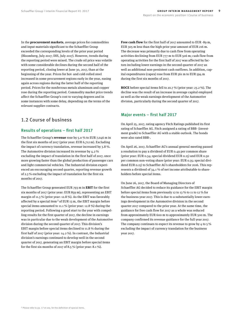<span id="page-8-0"></span>In the **procurement markets**, average prices for commodities and input materials significant to the Schaeffler Group exceeded the corresponding levels of the prior year period (Bloomberg, July 2017; IHS, July 2017). However, trends during the reporting period were mixed. The crude oil price was volatile with some considerable declines during the second half of the reporting period, closing lower at June 30, 2017, than at the beginning of the year. Prices for hot- and cold-rolled steel increased in some procurement regions early in the year, easing again across regions during the latter half of the reporting period. Prices for the nonferrous metals aluminum and copper rose during the reporting period. Commodity market price trends affect the Schaeffler Group's cost to varying degrees and in some instances with some delay, depending on the terms of the relevant supplier contracts.

### 1.2 Course of business

#### Results of operations – first half 2017

The Schaeffler Group's **revenue** rose by 5.0 % to EUR 7,046 m in the first six months of 2017 (prior year: EUR 6,712 m). Excluding the impact of currency translation, revenue increased by 3.8 %. The Automotive division increased its revenue by 4.2 % excluding the impact of translation in the first half of 2017, once more growing faster than the global production of passenger cars and light commercial vehicles. The Industrial division experienced an encouraging second quarter, reporting revenue growth of 2.3 % excluding the impact of translation for the first six months of 2017.

The Schaeffler Group generated EUR 793 m in **EBIT** for the first six months of 2017 (prior year: EUR 859 m), representing an EBIT margin of 11.3 % (prior year: 12.8 %). As the EBIT was favorably affected by a special item  $2$  of EUR 13 m, the EBIT margin before special items amounted to 11.1 % (prior year: 12.8 %) during the reporting period. Following a good start to the year with compelling results for the first quarter of 2017, the decline in earnings was in particular due to the weak development of the Automotive division during the second quarter of 2017. This division's EBIT margin before special items declined to 11.8 % during the first half of 2017 (prior year: 14.2 %). In contrast, the Industrial division's earnings continued to develop well in the second quarter of 2017, generating an EBIT margin before special items for the first six months of 2017 of 8.5 % (prior year: 8.1 %).

**Free cash flow** for the first half of 2017 amounted to EUR -89 m, EUR 305 m less than the high prior year amount of EUR 216 m. The decrease was primarily due to cash flow from operating activities declining from EUR 777 m to EUR 506 m; cash flow from operating activities for the first half of 2017 was affected by factors including lower earnings in the second quarter of 2017 as well as additional non-persistent cash outflows. In addition, capital expenditures (capex) rose from EUR 561 m to EUR 594 m during the first six months of 2017.

**ROCE** before special items fell to 20.7 % (prior year: 23.2 %). The decline was the result of an increase in average capital employed as well as the weak earnings development of the Automotive division, particularly during the second quarter of 2017.

#### Major events – first half 2017

On April 25, 2017, rating agency Fitch Ratings published its first rating of Schaeffler AG. Fitch assigned a rating of BBB- (investment grade) to Schaeffler AG with a stable outlook. The bonds were also rated BBB-.

On April 26, 2017, Schaeffler AG's annual general meeting passed a resolution to pay a dividend of EUR 0.49 per common share (prior year: EUR 0.34; special dividend EUR 0.15) and EUR 0.50 per common non-voting share (prior year: EUR 0.35; special dividend EUR 0.15) to Schaeffler AG's shareholders for 2016. This represents a dividend of 34.1 % of net income attributable to shareholders before special items.

On June 26, 2017, the Board of Managing Directors of Schaeffler AG decided to reduce its guidance for the EBIT margin before special items from previously 12 to 13 % to 11 to 12 % for the business year 2017. This is due to a substantially lower earnings development in the Automotive division in the second quarter 2017 compared to the prior year. At the same time, the guidance for free cash flow for 2017 as a whole was reduced from approximately EUR 600 m to approximately EUR 500 m. The company confirmed its revenue guidance for the full year 2017. The company continues to expect its revenue to grow by  $4$  to  $5\%$ excluding the impact of currency translation for the business year 2017.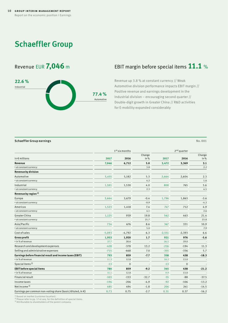## <span id="page-9-0"></span>Schaeffler Group



## Revenue EUR 7,046 m EBIT margin before special items 11.1 %

Revenue up 3.8 % at constant currency // Weak Automotive division performance impacts EBIT margin // Positive revenue and earnings development in the Industrial division – encouraging second quarter // Double-digit growth in Greater China // R&D activities for E-mobility expanded considerably

#### <span id="page-9-1"></span>**Schaeffler Group earnings** No. 001

|                                                                    | 1 <sup>st</sup> six months |              |               |          | 2 <sup>nd</sup> quarter |                |
|--------------------------------------------------------------------|----------------------------|--------------|---------------|----------|-------------------------|----------------|
| in $\epsilon$ millions                                             | 2017                       | 2016         | Change<br>in% | 2017     | 2016                    | Change<br>in % |
| Revenue                                                            | 7,046                      | 6,712        | 5.0           | 3,472    | 3,369                   | 3.1            |
| • at constant currency                                             |                            |              | 3.8           |          |                         | 2.2            |
| Revenue by division                                                |                            |              |               |          |                         |                |
| Automotive                                                         | 5,455                      | 5,182        | 5.3           | 2,664    | 2,604                   | 2.3            |
| · at constant currency                                             |                            |              | 4.2           |          |                         | 1.6            |
| Industrial                                                         | 1,591                      | 1,530        | 4.0           | 808      | 765                     | 5.6            |
| • at constant currency                                             |                            |              | 2.3           |          |                         | 4.5            |
| Revenue by region <sup>1)</sup>                                    |                            |              |               |          |                         |                |
| Europe                                                             | 3,664                      | 3,679        | $-0.4$        | 1,796    | 1,863                   | $-3.6$         |
| · at constant currency                                             |                            |              | $-0.9$        |          |                         | $-4.2$         |
| Americas                                                           | 1,523                      | 1,418        | 7.4           | 747      | 712                     | 4.9            |
| · at constant currency                                             |                            |              | 4.1           |          |                         | 2.6            |
| Greater China                                                      | 1,125                      | 939          | 19.8          | 562      | 463                     | 21.4           |
| · at constant currency                                             |                            |              | 21.7          |          |                         | 23.8           |
| Asia/Pacific                                                       | 734                        | 676          | 8.6           | 367      | 331                     | 10.9           |
| · at constant currency                                             |                            |              | 5.0           |          |                         | 7.9            |
| Cost of sales                                                      | $-5,093$                   | $-4,792$     | 6.3           | $-2,551$ | $-2,393$                | 6.6            |
| <b>Gross profit</b>                                                | 1,953                      | 1,920        | 1.7           | 921      | 976                     | $-5.6$         |
| • in % of revenue                                                  | 27.7                       | 28.6         |               | 26.5     | 29.0                    |                |
| Research and development expenses                                  | $-428$                     | $-378$       | 13.2          | $-216$   | $-194$                  | 11.3           |
| Selling and administrative expenses                                | $-715$                     | $-668$       | 7.0           | $-355$   | $-336$                  | 5.7            |
| Earnings before financial result and income taxes (EBIT)           | 793                        | 859          | $-7.7$        | 358      | 438                     | $-18.3$        |
| · in % of revenue                                                  | 11.3                       | 12.8         |               | 10.3     | 13.0                    |                |
| Special items <sup>2)</sup>                                        | $-13$                      | $\mathbf{0}$ |               | $-13$    | $\mathbf{0}$            |                |
| <b>EBIT before special items</b>                                   | 780                        | 859          | $-9.2$        | 345      | 438                     | $-21.2$        |
| • in % of revenue                                                  | 11.1                       | 12.8         |               | 9.9      | 13.0                    |                |
| <b>Financial result</b>                                            | $-103$                     | $-153$       | $-32.7$       | $-55$    | $-88$                   | $-37.5$        |
| Income taxes                                                       | $-196$                     | $-206$       | $-4.9$        | $-92$    | $-106$                  | $-13.2$        |
| Net income <sup>3)</sup>                                           | 485                        | 494          | $-1.8$        | 206      | 241                     | $-14.5$        |
| Earnings per common non-voting share (basic/diluted, in $\notin$ ) | 0.73                       | 0.75         | $-2.7$        | 0.31     | 0.37                    | $-16.2$        |

<sup>1)</sup> Based on market (customer location).

2) Please refer to [pp. 17](#page-16-0) et seq. for the definition of special items. 3) Attributable to shareholders of the parent company.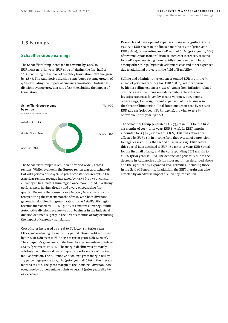### 1.3 Earnings

#### Schaeffler Group earnings

The Schaeffler Group increased its revenue by 5.0 % to EUR 7,046 m (prior year: EUR 6,712 m) during the first half of 2017. Excluding the impact of currency translation, revenue grew by 3.8 %. The Automotive division contributed revenue growth of 4.2 % excluding the impact of currency translation. Industrial division revenue grew at a rate of 2.3 % excluding the impact of translation.

<span id="page-10-0"></span>

The Schaeffler Group's revenue trend varied widely across regions. While revenue in the Europe region was approximately flat with prior year  $(-0.4\%; -0.9\%$  at constant currency), in the Americas region, revenue increased by 7.4 % (+4.1 % at constant currency). The Greater China region once more turned in a strong performance, having already had a very encouraging first quarter. Revenue there rose by 19.8 % (+21.7 % at constant currency) during the first six months of 2017, with both divisions generating double-digit growth rates. In the Asia/Pacific region, revenue increased by 8.6 % (+5.0 % at constant currency). While Automotive division revenue was up, business in the Industrial division declined slightly in the first six months of 2017 excluding the impact of currency translation.

Cost of sales increased by 6.3 % to EUR 5,093 m (prior year: EUR 4,792 m) during the reporting period. Gross profit improved by 1.7 % or EUR 33 m to EUR 1,953 m (prior year: EUR 1,920 m). The company's gross margin declined by 0.9 percentage points to  $27.7 \%$  (prior year:  $28.6 \%$ ). The margin decline was primarily attributable to the weak second quarter performance of the Automotive division. The Automotive division's gross margin fell by 1.4 percentage points to 27.2 % (prior year:  $28.6$  %) in the first six months of 2017. The gross margin of the Industrial division, however, rose by 0.7 percentage points to 29.4 % (prior year: 28.7 %) as expected.

Research and development expenses increased significantly by 13.2 % to EUR 428 m in the first six months of 2017 (prior year: EUR 378 m), representing an R&D ratio of 6.1 % (prior year:  $5.6\%$ ) of revenue. Apart from inflation-related cost increases, reasons for R&D expenses rising more rapidly than revenue include, among other things, higher development cost and other expenses due to additional projects in the field of E-mobility.

Selling and administrative expenses totaled EUR 715 m, 7.0 % ahead of prior year (prior year: EUR 668 m), mainly driven by higher selling expenses (+7.8 %). Apart from inflation-related cost increases, the increase is also attributable to higher logistics expenses driven by greater volumes, due, among other things, to the significant expansion of the business in the Greater China region. Total functional costs rose by 9.3 % to EUR 1,143 m (prior year: EUR 1,046 m), growing to 16.2 % of revenue (prior year: 15.6 %).

The Schaeffler Group generated EUR 793 m in EBIT for the first six months of 2017 (prior year: EUR 859 m). Its EBIT margin amounted to 11.3 % (prior year: 12.8 %). EBIT was favorably affected by EUR 13 m in income from the reversal of a provision for legal cases during the second quarter of 2017. EBIT before this special item declined to EUR 780 m (prior year: EUR 859 m) for the first half of 2017, and the corresponding EBIT margin to 11.1 % (prior year: 12.8 %). The decline was primarily due to the decrease in Automotive division gross margin as described above and the significantly expanded R&D activities, including those in the field of E-mobility. In addition, the EBIT margin was also affected by an adverse impact of currency translation.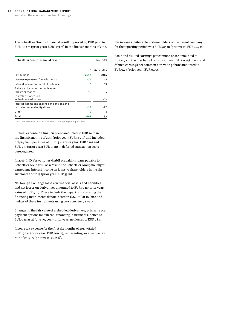The Schaeffler Group's financial result improved by EUR 50 m to EUR -103 m (prior year: EUR -153 m) in the first six months of 2017.

<span id="page-11-0"></span>

| Schaeffler Group financial result                                             |                | No.003           |
|-------------------------------------------------------------------------------|----------------|------------------|
|                                                                               |                | $1st$ six months |
| in $\epsilon$ millions                                                        | 2017           | 2016             |
| Interest expense on financial debt <sup>1)</sup>                              | $-76$          | $-145$           |
| Interest income on shareholder loans                                          | 0              | 33               |
| Gains and losses on derivatives and<br>foreign exchange                       | $-10$          | 5                |
| Fair value changes on<br>embedded derivatives                                 | $\mathbf 0$    | $-28$            |
| Interest income and expense on pensions and<br>partial retirement obligations | $-19$          | $-22$            |
| Other                                                                         | $\overline{2}$ | 4                |
| Total                                                                         | -103           | -153             |

<sup>1)</sup> Incl. amortization of transaction costs and prepayment penalties.

Interest expense on financial debt amounted to EUR 76 m in the first six months of 2017 (prior year: EUR 145 m) and included prepayment penalties of EUR 13 m (prior year: EUR 6 m) and EUR 5 m (prior year: EUR 19 m) in deferred transaction costs derecognized.

In 2016, IHO Verwaltungs GmbH prepaid its loans payable to Schaeffler AG in full. As a result, the Schaeffler Group no longer earned any interest income on loans to shareholders in the first six months of 2017 (prior year: EUR 33 m).

Net foreign exchange losses on financial assets and liabilities and net losses on derivatives amounted to EUR 10 m (prior year: gains of EUR 5 m). These include the impact of translating the financing instruments denominated in U.S. Dollar to Euro and hedges of these instruments using cross currency swaps.

Changes in the fair value of embedded derivatives, primarily prepayment options for external financing instruments, netted to EUR 0 m as at June 30, 2017 (prior year: net losses of EUR 28 m).

Income tax expense for the first six months of 2017 totaled EUR 196 m (prior year: EUR 206 m), representing an effective tax rate of 28.4 % (prior year: 29.2 %).

Net income attributable to shareholders of the parent company for the reporting period was EUR 485 m (prior year: EUR 494 m).

Basic and diluted earnings per common share amounted to EUR 0.72 in the first half of 2017 (prior year: EUR 0.74). Basic and diluted earnings per common non-voting share amounted to EUR 0.73 (prior year: EUR 0.75).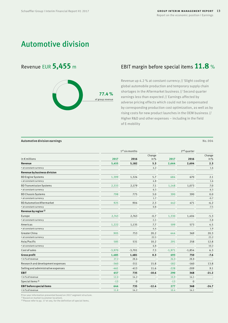## Automotive division



## Revenue EUR **5,455** <sup>m</sup> EBIT margin before special items **11.8** %

Revenue up 4.2 % at constant currency // Slight cooling of global automobile production and temporary supply chain shortages in the Aftermarket business // Second quarter earnings less than expected // Earnings affected by adverse pricing effects which could not be compensated by corresponding production cost optimization, as well as by rising costs for new product launches in the OEM business // Higher R&D and other expenses – including in the field of E-mobility

#### <span id="page-12-0"></span>Automotive division earnings No. 004

 $1^{st}$  six months  $2^{nd}$  quarter in € millions **2017 2016** Change in % **2017 2016** Change in % **Revenue 5,455 5,182 5.3 2,664 2,604 2.3** • at constant currency  $4.2$  and  $4.2$  and  $4.2$  and  $4.2$  and  $4.6$  and  $4.2$  and  $4.6$  and  $4.6$  and  $4.6$  and  $4.6$  and  $4.6$  and  $4.6$  and  $4.2$  and  $4.2$  and  $4.2$  and  $4.2$  and  $4.2$  and  $4.2$  and  $4.2$  and  $4.2$  an **Revenue by business division** BD Engine Systems 1,399 1,324 5.7 684 670 2.1 • at constant currency 4.8 1.6 BD Transmission Systems 2,333 2,179 7.1 1,148 1,073 7.0 • at constant currency  $6.3$ BD Chassis Systems **798** 775 3.0 390 390 0.0 • at constant currency  $\sim$  -0.7  $\sim$  0.7  $\sim$  0.7  $\sim$  0.7  $\sim$  0.7  $\sim$  0.7  $\sim$  0.7  $\sim$  0.7  $\sim$  0.7  $\sim$  0.7  $\sim$  0.7  $\sim$  0.7  $\sim$  0.7  $\sim$  0.7  $\sim$  0.7  $\sim$  0.7  $\sim$  0.7  $\sim$  0.7  $\sim$  0.7  $\sim$  0.7  $\sim$  0.7  $\sim$  0.7 BD Automotive Aftermarket 1995 1995 1996 925 904 2.3 442 471 -6.2 • at constant currency 0.8 -7.5 **Revenue by region 1)** Europe 2,743 2,763 -0.7 1,330 1,404 -5.3 • at constant currency -1.1 -5.8 Americas 1,222 1,135 7.7 599 573 4.5 • at constant currency  $\begin{array}{ccc} & 4.4 & \phantom{000} \end{array}$ Greater China 905 753 20.2 444 369 20.3 • at constant currency  $23.2$ Asia/Pacific 585 531 10.2 291 258 12.8 • at constant currency and the constant currency of the constant currency of the constant currency of the constant currency of the constant currency of the constant currency of the constant currency of the constant currenc Cost of sales -3,970 -3,701 7.3 -1,971 -1,854 6.3 **Gross profit 1,485 1,481 0.3 693 750 -7.6**  $\bullet$  in%of revenue  $27.2$   $28.6$   $28.8$   $28.8$   $28.8$ Research and development expenses and the search and development expenses of the search and development expenses and the search and the search of the search and the search and the search and the search and the search and t Selling and administrative expenses 0.1 CM  $-461$   $-413$   $-11.6$   $-228$   $-209$  9.1 **EBIT 657 735 -10.6 290 368 -21.2**  $\bullet$  in%of revenue  $12.0$  14.2  $\bullet$  10.9 14.1  $\bullet$  $Special items <sup>2</sup>$  0 -13 0 **EBIT before special items 644 735 -12.4 277 368 -24.7** • in % of revenue  $\qquad \qquad \qquad 11.8$   $\qquad \qquad 14.2$   $\qquad \qquad \qquad 10.4$   $\qquad \qquad 14.1$   $\qquad \qquad \qquad \qquad$ 

Prior year information presented based on 2017 segment structure.

<sup>1)</sup> Based on market (customer location)

2) Please refer to [pp. 17](#page-16-0) et seq. for the definition of special items.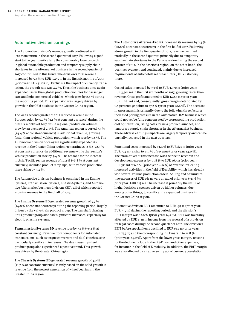#### Automotive division earnings

The Automotive division's revenue growth continued with less momentum in the second quarter of 2017. Following a good start to the year, particularly the considerably lower growth in global automobile production and temporary supply chain shortages in the Aftermarket business in the second quarter of 2017 contributed to this trend. The division's total revenue increased by 5.3 % to EUR 5,455 m in the first six months of 2017 (prior year: EUR 5,182 m). Excluding the impact of currency translation, the growth rate was 4.2 %. Thus, the business once again expanded faster than global production volumes for passenger cars and light commercial vehicles, which grew by 2.6 % during the reporting period. This expansion was largely driven by growth in the OEM business in the Greater China region.

The weak second quarter of 2017 reduced revenue in the Europe region by 0.7 % (-1.1 % at constant currency) during the first six months of 2017, while regional production volumes grew by an average of 2.3 %. The Americas region reported 7.7 % (+4.4 % at constant currency) in additional revenue, growing faster than regional vehicle production, which rose by 1.4 %. The Automotive division once again significantly expanded its revenue in the Greater China region, generating 20.2 % (+22.5 % at constant currency) in additional revenue while that region's vehicle production rose by 3.4 %. The reasons for the increase in Asia/Pacific region revenue of 10.2 % (+6.8 % at constant currency) included product ramp-ups, with vehicle production there rising by 3.4 %.

The Automotive division business is organized in the Engine Systems, Transmission Systems, Chassis Systems, and Automotive Aftermarket business divisions (BD), all of which reported growing revenue in the first half of 2017.

The **Engine Systems BD** generated revenue growth of 5.7 % (+4.8 % at constant currency) during the reporting period, largely driven by the valve train product group. The camshaft phasing units product group also saw significant increases, especially for electric phasing systems.

**Transmission Systems BD** revenue rose by 7.1 % (+6.3 % at constant currency). Revenue from components for automated transmissions, such as torque converters and dual clutches, saw particularly significant increases. The dual-mass flywheel product group also experienced a positive trend. This growth was driven by the Greater China region.

The **Chassis Systems BD** generated revenue growth of 3.0 %  $(+1.7\%$  at constant currency) mainly based on the solid growth in revenue from the newest generation of wheel bearings in the Greater China region.

The **Automotive Aftermarket BD** increased its revenue by 2.3 % (+0.8 % at constant currency) in the first half of 2017. Following strong growth in the first quarter of 2017, revenue declined markedly in the second quarter, primarily due to temporary supply-chain shortages in the Europe region during the second quarter of 2017. In the Americas region, on the other hand, the positive revenue trend continued, mainly due to increased requirements of automobile manufacturers (OES customers) there.

Cost of sales increased by 7.3 % to EUR 3,970 m (prior year: EUR 3,701 m) in the first six months of 2017, growing faster than revenue. Gross profit amounted to EUR 1,485 m (prior year: EUR 1,481 m) and, consequently, gross margin deteriorated by 1.4 percentage points to 27.2 % (prior year: 28.6 %). The decrease in gross margin is primarily due to the following three factors: increased pricing pressure in the Automotive OEM business which could not yet be fully compensated by corresponding production cost optimization, rising costs for new product launches, and temporary supply chain shortages in the Aftermarket business. These adverse earnings impacts are largely temporary and can be partially recovered in the next quarters.

Functional costs increased by 13.4 % to EUR 821 m (prior year: EUR 724 m), rising to 15.1 % of revenue (prior year: 14.0 %). The main driver of this increase was the rise in research and development expenses by 15.8 % to EUR 360 m (prior year: EUR 311 m) or 6.6 % (prior year: 6.0 %) of revenue, reflecting increased activities in the field of E-mobility, which has already won several volume production orders. Selling and administrative expenses of EUR 461 m were ahead of prior year (+11.6 %; prior year: EUR 413 m). The increase is primarily the result of higher logistics expenses driven by higher volumes, due, among other things, to significantly expanded business in the Greater China region.

Automotive division EBIT amounted to EUR 657 m (prior year: EUR 735 m) during the reporting period, and the division's EBIT margin was 12.0 % (prior year: 14.2 %). EBIT was favorably affected by EUR 13 m in income from the reversal of a provision for legal cases during the second quarter of 2017. The division's EBIT before special items declined to EUR 644 m (prior year: EUR 735 m) and the corresponding EBIT margin to 11.8 % (prior year: 14.2 %). Apart from the lower gross margin, reasons for the decline include higher R&D cost and other expenses, for instance in the field of E-mobility. In addition, the EBIT margin was also affected by an adverse impact of currency translation.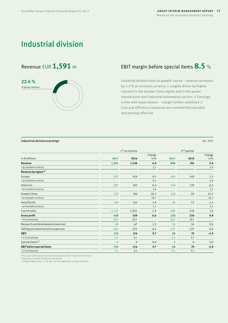## Industrial division

**22.6 %** of group revenue

#### <span id="page-14-0"></span>Industrial division earnings No. 005

|                                     |              | 1 <sup>st</sup> six months |                  |              | $2nd$ quarter |                |  |
|-------------------------------------|--------------|----------------------------|------------------|--------------|---------------|----------------|--|
| in $\epsilon$ millions              | 2017         | 2016                       | Change<br>in $%$ | 2017         | 2016          | Change<br>in % |  |
| Revenue                             | 1,591        | 1,530                      | 4.0              | 808          | 765           | 5.6            |  |
| · at constant currency              |              |                            | 2.3              |              |               | 4.5            |  |
| Revenue by region <sup>1)</sup>     |              |                            |                  |              |               |                |  |
| Europe                              | 921          | 916                        | 0.5              | 466          | 459           | 1.5            |  |
| · at constant currency              |              |                            | $-0.3$           |              |               | 0.6            |  |
| Americas                            | 301          | 283                        | 6.4              | 148          | 139           | 6.5            |  |
| · at constant currency              |              |                            | 2.6              |              |               | 5.1            |  |
| Greater China                       | 220          | 186                        | 18.3             | 118          | 94            | 25.5           |  |
| · at constant currency              |              |                            | 18.7             |              |               | 26.3           |  |
| Asia/Pacific                        | 149          | 145                        | 2.8              | 76           | 73            | 4.1            |  |
| · at constant currency              |              |                            | $-1.7$           |              |               | 0.1            |  |
| Cost of sales                       | $-1,123$     | $-1,091$                   | 2.9              | $-580$       | $-539$        | 7.6            |  |
| Gross profit                        | 468          | 439                        | 6.6              | 228          | 226           | 0.9            |  |
| · in % of revenue                   | 29.4         | 28.7                       |                  | 28.2         | 29.5          |                |  |
| Research and development expenses   | $-68$        | $-67$                      | 1.5              | $-34$        | $-34$         | 0.0            |  |
| Selling and administrative expenses | $-254$       | $-255$                     | $-0.4$           | $-127$       | $-127$        | 0.0            |  |
| <b>EBIT</b>                         | 136          | 124                        | 9.7              | 68           | 70            | $-2.9$         |  |
| · in % of revenue                   | 8.5          | 8.1                        |                  | 8.4          | 9.2           |                |  |
| Special items <sup>2)</sup>         | $\mathbf{0}$ | $\mathbf 0$                | 0.0              | $\mathbf{0}$ | $\mathbf{0}$  | 0.0            |  |

**EBIT before special items 136 124 9.7 68 70 -2.9**

 $\bullet$  in% of revenue  $8.5$   $8.1$   $8.4$   $9.2$   $\bullet$ 

Prior year information presented based on 2017 segment structure.

<sup>1)</sup> Based on market (customer location).

2) Please refer to [pp. 17](#page-16-0) et seq. for the definition of special items.

## Revenue EUR 1,591 m EBIT margin before special items 8.5 %

Industrial division back on growth course – revenue increases by 2.3 % at constant currency // Largely driven by higher volumes in the Greater China region and in the power transmission and industrial automation sectors // Earnings in line with expectations – margin further stabilized // Cost and efficiency measures are consistently executed and proving effective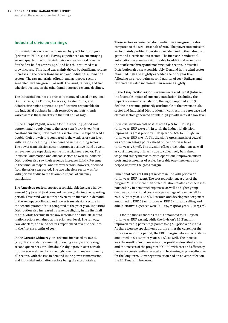### Industrial division earnings

Industrial division revenue increased by 4.0 % to EUR 1,591 m (prior year: EUR 1,530 m). Having experienced an encouraging second quarter, the Industrial division grew its total revenue for the first half of 2017 by 2.3 % and has thus returned to a growth course. This trend was mainly driven by significant volume increases in the power transmission and industrial automation sectors. The raw materials, offroad, and aerospace sectors generated revenue growth, as well. The wind, railway, and two wheelers sectors, on the other hand, reported revenue declines.

The Industrial business is primarily managed based on regions. On this basis, the Europe, Americas, Greater China, and Asia/Pacific regions operate as profit centers responsible for the Industrial business in their respective markets; trends varied across these markets in the first half of 2017.

In the **Europe region**, revenue for the reporting period was approximately equivalent to the prior year (+0.5 %; -0.3 % at constant currency). Raw materials sector revenue experienced a double-digit growth rate compared to the weak prior year level, with reasons including higher demand in the mining sector. The power transmission sector reported a positive trend as well, as revenue rose especially on the industrial gears sector. The industrial automation and offroad sectors as well as Industrial Distribution also saw their revenue increase slightly. Revenue in the wind, aerospace, and railway sectors, however, declined from the prior year period. The two wheelers sector was flat with prior year due to the favorable impact of currency translation.

The **Americas region** reported a considerable increase in revenue of 6.4 % (+2.6 % at constant currency) during the reporting period. This trend was mainly driven by an increase in demand in the aerospace, offroad, and power transmission sectors in the second quarter of 2017 compared to the prior year. Industrial Distribution also increased its revenue slightly in the first half of 2017, while revenue in the raw materials and industrial automation sectors remained at the prior year level. The railway, two wheelers, and wind sectors experienced revenue declines in the first six months of 2017.

In the **Greater China region**, revenue increased by 18.3 % (+18.7 % at constant currency) following a very encouraging second quarter of 2017. This double-digit growth over a weak prior year was driven by some high revenue increases in nearly all sectors, with the rise in demand in the power transmission and industrial automation sectors being the most notable.

These sectors experienced double-digit revenue growth rates compared to the weak first half of 2016. The power transmission sector mainly profited from stabilized demand in the industrial gears and electric motors sectors. The increase in industrial automation revenue was attributable to additional revenue in the textile machinery and machine tools sectors. Industrial Distribution also grew considerably. Demand in the wind sector remained high and slightly exceeded the prior year level following an encouraging second quarter of 2017. Railway and raw materials also increased their revenue slightly.

In the **Asia/Pacific region**, revenue increased by 2.8 % due to the favorable impact of currency translation. Excluding the impact of currency translation, the region reported a 1.7 % decline in revenue, primarily attributable to the raw materials sector and Industrial Distribution. In contrast, the aerospace and offroad sectors generated double-digit growth rates at a low level.

Industrial division cost of sales rose 2.9 % to EUR 1,123 m (prior year: EUR 1,091 m). In total, the Industrial division improved its gross profit by EUR 29 m or 6.6 % to EUR 468 m (prior year: EUR 439 m). The division's gross margin of 29.4 % was 0.7 percentage points ahead of the prior year level (prior year: 28.7 %). The division offset price reductions as well as cost increases, primarily due to collectively bargained wage and salary increases, with operational improvements in costs and economies of scale. Favorable one-time items also helped improve the gross margin.

Functional costs of EUR 322 m were in line with prior year (prior year: EUR 322 m). The cost reduction measures of the program "CORE" more than offset inflation-related cost increases, particularly in personnel expenses, as well as higher group overheads. Functional costs as a percentage of revenue fell to 20.2 % (prior year: 21.0 %). Research and development expenses amounted to EUR 68 m (prior year: EUR 67 m), and selling and administrative expenses were EUR 254 m (prior year: EUR 255 m).

EBIT for the first six months of 2017 amounted to EUR 136 m (prior year: EUR 124 m), while the division's EBIT margin improved by 0.4 percentage points to 8.5 % (prior year: 8.1 %). As there were no special items during either the current or the prior year reporting period, the EBIT margin before special items amounted to 8.5 % (prior year: 8.1 %), as well. The increase was the result of an increase in gross profit as described above and the success of the program "CORE", with cost and efficiency measures consistently executed and beginning to prove effective for the long-term. Currency translation had an adverse effect on the EBIT margin, however.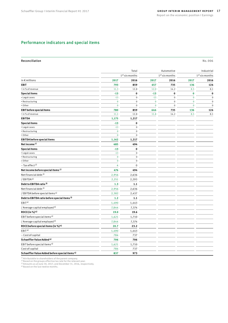### <span id="page-16-0"></span>Performance indicators and special items

#### <span id="page-16-1"></span>Reconciliation No. 006

|                                                           |             | Total                      |             | Automotive                 |             | Industrial       |
|-----------------------------------------------------------|-------------|----------------------------|-------------|----------------------------|-------------|------------------|
|                                                           |             | 1 <sup>st</sup> six months |             | 1 <sup>st</sup> six months |             | $1st$ six months |
| in $\epsilon$ millions                                    | 2017        | 2016                       | 2017        | 2016                       | 2017        | 2016             |
| <b>EBIT</b>                                               | 793         | 859                        | 657         | 735                        | 136         | 124              |
| • in % of revenue                                         | 11.3        | 12.8                       | 12.0        | 14.2                       | 8.5         | 8.1              |
| <b>Special items</b>                                      | $-13$       | $\mathbf 0$                | $-13$       | $\bf{0}$                   | $\mathbf 0$ | $\bf{0}$         |
| • Legal cases                                             | $-13$       | $\mathbf 0$                | $-13$       | $\mathbf 0$                | $\mathbf 0$ | $\mathbf 0$      |
| • Restructuring                                           | $\mathbf 0$ | $\mathbf 0$                | $\mathbf 0$ | $\pmb{0}$                  | $\pmb{0}$   | $\mathbf 0$      |
| • Other                                                   | $\pmb{0}$   | $\mathbf 0$                | $\mathbf 0$ | $\mathbf 0$                | $\mathbf 0$ | $\mathbf 0$      |
| <b>EBIT</b> before special items                          | 780         | 859                        | 644         | 735                        | 136         | 124              |
| • in % of revenue                                         | 11.1        | 12.8                       | 11.8        | 14.2                       | 8.5         | 8.1              |
| <b>EBITDA</b>                                             | 1,175       | 1,217                      |             |                            |             |                  |
| <b>Special items</b>                                      | $-13$       | $\bf{0}$                   |             |                            |             |                  |
| · Legal cases                                             | $-13$       | $\mathbf 0$                |             |                            |             |                  |
| • Restructuring                                           | $\mathbf 0$ | $\mathsf 0$                |             |                            |             |                  |
| • Other                                                   | $\mathbf 0$ | $\mathbf 0$                |             |                            |             |                  |
| <b>EBITDA</b> before special items                        | 1,162       | 1,217                      |             |                            |             |                  |
| Net income <sup>1)</sup>                                  | 485         | 494                        |             |                            |             |                  |
| <b>Special items</b>                                      | $-13$       | $\bf{0}$                   |             |                            |             |                  |
| • Legal cases                                             | $-13$       | $\mathbf 0$                |             |                            |             |                  |
| • Restructuring                                           | $\pmb{0}$   | $\mathbf 0$                |             |                            |             |                  |
| • Other                                                   | $\mathbf 0$ | $\mathbf 0$                |             |                            |             |                  |
| - Tax effect <sup>2)</sup>                                | 4           | $\mathbf 0$                |             |                            |             |                  |
| Net income before special items <sup>1)</sup>             | 476         | 494                        |             |                            |             |                  |
| Net financial debt <sup>3)</sup>                          | 2,956       | 2,636                      |             |                            |             |                  |
| / EBITDA <sup>4)</sup>                                    | 2,251       | 2,293                      |             |                            |             |                  |
| Debt to EBITDA ratio <sup>3)</sup>                        | 1.3         | 1.1                        |             |                            |             |                  |
| Net financial debt <sup>3)</sup>                          | 2,956       | 2,636                      |             |                            |             |                  |
| / EBITDA before special items <sup>4)</sup>               | 2,382       | 2,437                      |             |                            |             |                  |
| Debt to EBITDA ratio before special items 3)              | $1.2$       | 1.1                        |             |                            |             |                  |
| EBIT <sup>4</sup>                                         | 1,490       | 1,443                      |             |                            |             |                  |
| / Average capital employed <sup>4)</sup>                  | 7,844       | 7,374                      |             |                            |             |                  |
| ROCE (in %) $4$ )                                         | 19.0        | 19.6                       |             |                            |             |                  |
| EBIT before special items <sup>4)</sup>                   | 1,621       | 1,710                      |             |                            |             |                  |
| / Average capital employed <sup>4)</sup>                  | 7,844       | 7,374                      |             |                            |             |                  |
| ROCE before special items (in %) $4$ )                    | 20.7        | 23.2                       |             |                            |             |                  |
| EBIT <sup>4</sup>                                         | 1,490       | 1,443                      |             |                            |             |                  |
| - Cost of capital                                         | 784         | 737                        |             |                            |             |                  |
| Schaeffler Value Added <sup>4)</sup>                      | 706         | 706                        |             |                            |             |                  |
| EBIT before special items <sup>4)</sup>                   | 1,621       | 1,710                      |             |                            |             |                  |
| Cost of capital                                           | 784         | 737                        |             |                            |             |                  |
| Schaeffler Value Added before special items <sup>4)</sup> | 837         | 973                        |             |                            |             |                  |

<sup>1)</sup> Attributable to shareholders of the parent company.<br>2) Based on the groups effective tax rate for the relevant year.<br><sup>3)</sup> Amounts as at June 30, 2017, and December 31, 2016, respectively.<br><sup>4)</sup> Based on the last twelve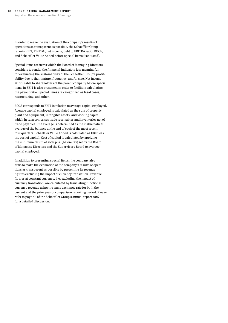In order to make the evaluation of the company's results of operations as transparent as possible, the Schaeffler Group reports EBIT, EBITDA, net income, debt to EBITDA ratio, ROCE, and Schaeffler Value Added before special items (=adjusted).

Special items are items which the Board of Managing Directors considers to render the financial indicators less meaningful for evaluating the sustainability of the Schaeffler Group's profitability due to their nature, frequency, and/or size. Net income attributable to shareholders of the parent company before special items in EBIT is also presented in order to facilitate calculating the payout ratio. Special items are categorized as legal cases, restructuring, and other.

ROCE corresponds to EBIT in relation to average capital employed. Average capital employed is calculated as the sum of property, plant and equipment, intangible assets, and working capital, which in turn comprises trade receivables and inventories net of trade payables. The average is determined as the mathematical average of the balance at the end of each of the most recent four quarters. Schaeffler Value Added is calculated as EBIT less the cost of capital. Cost of capital is calculated by applying the minimum return of 10 % p. a. (before tax) set by the Board of Managing Directors and the Supervisory Board to average capital employed.

In addition to presenting special items, the company also aims to make the evaluation of the company's results of operations as transparent as possible by presenting its revenue figures excluding the impact of currency translation. Revenue figures at constant currency, i. e. excluding the impact of currency translation, are calculated by translating functional currency revenue using the same exchange rate for both the current and the prior year or comparison reporting period. Please refer to page 48 of the Schaeffler Group's annual report 2016 for a detailed discussion.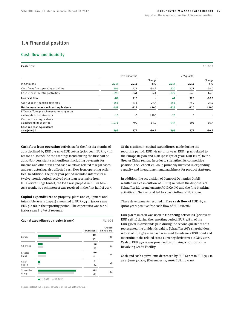### <span id="page-18-0"></span>1.4 Financial position

### Cash flow and liquidity

#### <span id="page-18-1"></span>Cash flow No. 007

|                                                                          | $1st$ six months |        | 2 <sup>nd</sup> quarter |        |        |                  |
|--------------------------------------------------------------------------|------------------|--------|-------------------------|--------|--------|------------------|
| in $\epsilon$ millions                                                   | 2017             | 2016   | Change<br>in $%$        | 2017   | 2016   | Change<br>in $%$ |
| Cash flows from operating activities                                     | 506              | 777    | $-34.9$                 | 320    | 571    | $-44.0$          |
| Cash used in investing activities                                        | $-595$           | $-561$ | 6.1                     | $-279$ | $-243$ | 14.8             |
| Free cash flow                                                           | $-89$            | 216    | $\blacksquare$          | 41     | 328    | $-87.5$          |
| Cash used in financing activities                                        | $-568$           | -438   | 29.7                    | $-566$ | $-452$ | 25.2             |
| Net increase in cash and cash equivalents                                | $-657$           | $-222$ | >100                    | $-525$ | $-124$ | >100             |
| Effects of foreign exchange rate changes on<br>cash and cash equivalents | $-15$            | $-5$   | >100                    | $-23$  | 3      |                  |
| Cash and cash equivalents<br>as at beginning of period                   | 1,071            | 799    | 34.0                    | 947    | 693    | 36.7             |
| Cash and cash equivalents<br>as at June 30                               | 399              | 572    | $-30.2$                 | 399    | 572    | $-30.2$          |

**Cash flow from operating activities** for the first six months of 2017 declined by EUR 271 m to EUR 506 m (prior year: EUR 777 m); reasons also include the earnings trend during the first half of 2017. Non-persistent cash outflows, including payments for income and other taxes and cash outflows related to legal cases and restructuring, also affected cash flow from operating activities. In addition, the prior year period included interest for a twelve-month period received on a loan receivable from IHO Verwaltungs GmbH; the loan was prepaid in full in 2016. As a result, no such interest was received in the first half of 2017.

**Capital expenditures** on property, plant and equipment and intangible assets (capex) amounted to EUR 594 m (prior year: EUR 561 m) in the reporting period. The capex ratio was 8.4 % (prior year: 8.4 %) of revenue.

<span id="page-18-2"></span>

|            | Capital expenditures by region (capex) |                        | No.008                           |
|------------|----------------------------------------|------------------------|----------------------------------|
|            |                                        | in $\epsilon$ millions | Change<br>in $\epsilon$ millions |
| Europe     |                                        | 361                    | $+30$                            |
|            |                                        | 331                    |                                  |
| Americas   |                                        | 72                     |                                  |
|            |                                        | 85                     | $-13$                            |
| Greater    |                                        | 130                    | $+9$                             |
| China      |                                        | 121                    |                                  |
| Asia/      |                                        | 31                     |                                  |
| Pacific    |                                        | 24                     | $+7$                             |
| Schaeffler |                                        | 594                    |                                  |
| Group      |                                        | 561                    | $+33$                            |
|            | H1 2017<br>H1 2016                     |                        |                                  |

Regions reflect the regional structure of the Schaeffler Group.

Of the significant capital expenditures made during the reporting period, EUR 361 m (prior year: EUR 331 m) related to the Europe Region and EUR 130 m (prior year: EUR 121 m) to the Greater China region. In order to strengthen its competitive position, the Schaeffler Group primarily invested in expanding capacity and in equipment and machinery for product start-ups.

In addition, the acquisition of Compact Dynamics GmbH resulted in a cash outflow of EUR 23 m, while the disposals of Schaeffler Motorenelemente AG & Co. KG and the fine blanking activities in Switzerland led to a cash inflow of EUR 20 m.

These developments resulted in **free cash flow** of EUR -89 m (prior year: positive free cash flow of EUR 216 m).

EUR 568 m in cash was used in **financing activities** (prior year: EUR 438 m) during the reporting period. EUR 328 m of the EUR 330 m in dividends paid during the second quarter of 2017 represented the dividends paid to Schaeffler AG's shareholders. A total of EUR 587 m in cash was used to redeem a USD bond and to terminate the related cross-currency derivatives in May 2017. Cash of EUR 350 m was provided by utilizing a portion of the Revolving Credit Facility.

Cash and cash equivalents decreased by EUR 672 m to EUR 399 m as at June 30, 2017 (December 31, 2016: EUR 1,071 m).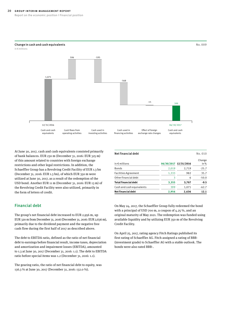#### **20** Group interim management report

<span id="page-19-0"></span>Change in cash and cash equivalents

Report on the economic position I Financial position



At June 30, 2017, cash and cash equivalents consisted primarily of bank balances. EUR 230 m (December 31, 2016: EUR 325 m) of this amount related to countries with foreign exchange restrictions and other legal restrictions. In addition, the Schaeffler Group has a Revolving Credit Facility of EUR 1.3 bn (December 31, 2016: EUR 1.3 bn), of which EUR 350 m were utilized at June 30, 2017, as a result of the redemption of the USD bond. Another EUR 11 m (December 31, 2016: EUR 13 m) of the Revolving Credit Facility were also utilized, primarily in the form of letters of credit.

#### Financial debt

The group's net financial debt increased to EUR 2,956 m, up EUR 320 m from December 31, 2016 (December 31, 2016: EUR 2,636 m), primarily due to the dividend payment and the negative free cash flow during the first half of 2017 as described above.

The debt to EBITDA ratio, defined as the ratio of net financial debt to earnings before financial result, income taxes, depreciation and amortization and impairment losses (EBITDA), amounted to 1.3 at June 30, 2017 (December 31, 2016: 1.1). The debt to EBITDA ratio before special items was 1.2 (December 31, 2016: 1.1).

The gearing ratio, the ratio of net financial debt to equity, was 136.3 % at June 30, 2017 (December 31, 2016: 132.0 %).

<span id="page-19-1"></span>

| Net financial debt          |       |                       | No.010         |
|-----------------------------|-------|-----------------------|----------------|
| in $\epsilon$ millions      |       | 06/30/2017 12/31/2016 | Change<br>in % |
| <b>Bonds</b>                | 2,019 | 2,719                 | $-25.7$        |
| <b>Facilities Agreement</b> | 1,333 | 982                   | 35.7           |
| Other financial debt        | 3     | 6                     | $-50.0$        |
| Total financial debt        | 3,355 | 3,707                 | $-9.5$         |
| Cash and cash equivalents   | 399   | 1,071                 | $-62.7$        |
| Net financial debt          | 2,956 | 2.636                 | 12.1           |

On May 24, 2017, the Schaeffler Group fully redeemed the bond with a principal of USD 700 m, a coupon of 4.25 %, and an original maturity of May 2021. The redemption was funded using available liquidity and by utilizing EUR 350 m of the Revolving Credit Facility.

On April 25, 2017, rating agency Fitch Ratings published its first rating of Schaeffler AG. Fitch assigned a rating of BBB-(investment grade) to Schaeffler AG with a stable outlook. The bonds were also rated BBB-.

No. 009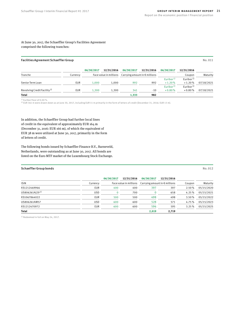At June 30, 2017, the Schaeffler Group's Facilities Agreement comprised the following tranches:

#### <span id="page-20-0"></span>Facilities Agreement Schaeffler Group No. 011

|                                         |          | 06/30/2017             | 12/31/2016 | 06/30/2017                             | 12/31/2016 | 06/30/2017                        | 12/31/2016                         |            |
|-----------------------------------------|----------|------------------------|------------|----------------------------------------|------------|-----------------------------------|------------------------------------|------------|
| Tranche                                 | Currency | Face value in millions |            | Carrying amount in $\epsilon$ millions |            |                                   | Coupon                             | Maturity   |
| Senior Term Loan                        | EUR      | 1.000                  | 1.000      | 992                                    | 992        | Euribor <sup>1)</sup><br>$+1.20%$ | Euribor <sup>1)</sup><br>$+1.20%$  | 07/18/2021 |
| Revolving Credit Facility <sup>2)</sup> | EUR      | 1.300                  | 1.300      | 341                                    | $-10$      | Euribor <sup>1)</sup><br>$+0.80%$ | Euribor <sup>1)</sup><br>$+0.80\%$ | 07/18/2021 |
| <b>Total</b>                            |          |                        |            | 1,333                                  | 982        |                                   |                                    |            |

<sup>1)</sup> Euribor floor of 0.00 %.<br><sup>2)</sup> EUR 361 m were drawn down as at June 30, 2017, including EUR 11 m primarily in the form of letters of credit (December 31, 2016: EUR 13 m).

In addition, the Schaeffler Group had further local lines of credit in the equivalent of approximately EUR 164 m (December 31, 2016: EUR 166 m), of which the equivalent of EUR 38 m were utilized at June 30, 2017, primarily in the form of letters of credit.

The following bonds issued by Schaeffler Finance B.V., Barneveld, Netherlands, were outstanding as at June 30, 2017. All bonds are listed on the Euro MTF market of the Luxembourg Stock Exchange.

#### <span id="page-20-1"></span>Schaeffler Group bonds No. 012

|                            |            | 06/30/2017 | 12/31/2016             | 06/30/2017                             | 12/31/2016 |        |            |
|----------------------------|------------|------------|------------------------|----------------------------------------|------------|--------|------------|
| <b>ISIN</b>                | Currency   |            | Face value in millions | Carrying amount in $\epsilon$ millions |            | Coupon | Maturity   |
| XS1212469966               | <b>EUR</b> | 400        | 400                    | 397                                    | 397        | 2.50%  | 05/15/2020 |
| US806261AJ29 <sup>1)</sup> | <b>USD</b> |            | 700                    |                                        | 658        | 4.25%  | 05/15/2021 |
| XS1067864022               | <b>EUR</b> | 500        | 500                    | 498                                    | 498        | 3.50%  | 05/15/2022 |
| US806261AM57               | <b>USD</b> | 600        | 600                    | 528                                    | 571        | 4.75%  | 05/15/2023 |
| XS1212470972               | <b>EUR</b> | 600        | 600                    | 596                                    | 595        | 3.25%  | 05/15/2025 |
| <b>Total</b>               |            |            |                        | 2,019                                  | 2,719      |        |            |

 $1)$  Redeemed in full on May 24, 2017.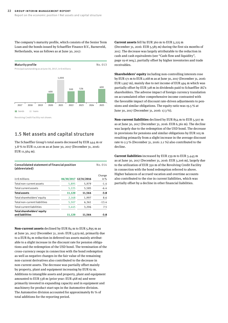<span id="page-21-0"></span>The company's maturity profile, which consists of the Senior Term Loan and the bonds issued by Schaeffler Finance B.V., Barneveld, Netherlands, was as follows as at June 30, 2017:

<span id="page-21-1"></span>

### 1.5 Net assets and capital structure

The Schaeffler Group's total assets decreased by EUR 444 m or 3.8 % to EUR 11,120 m as at June 30, 2017 (December 31, 2016: EUR 11,564 m).

<span id="page-21-2"></span>

| Consolidated statement of financial position<br>(abbreviated) |        |                       |                |  |  |  |
|---------------------------------------------------------------|--------|-----------------------|----------------|--|--|--|
| in $\epsilon$ millions                                        |        | 06/30/2017 12/31/2016 | Change<br>in % |  |  |  |
| Total non-current assets                                      | 5,895  | 5,979                 | $-1.4$         |  |  |  |
| Total current assets                                          | 5,225  | 5,585                 | $-6.4$         |  |  |  |
| <b>Total assets</b>                                           | 11,120 | 11,564                | $-3.8$         |  |  |  |
| Total shareholders' equity                                    | 2,168  | 1,997                 | 8.6            |  |  |  |
| Total non-current liabilities                                 | 5,507  | 6,361                 | $-13.4$        |  |  |  |
| Total current liabilities                                     | 3,445  | 3,206                 | 7.5            |  |  |  |
| Total shareholders' equity<br>and liabilities                 | 11,120 | 11,564                | -3.8           |  |  |  |

**Non-current assets** declined by EUR 84 m to EUR 5,895 m as at June 30, 2017 (December 31, 2016: EUR 5,979 m), primarily due to a EUR 84 m reduction in deferred tax assets mainly attributable to a slight increase in the discount rate for pension obligations and the redemption of the USD bond. The termination of the cross-currency swaps in connection with the bond redemption as well as negative changes in the fair value of the remaining non-current derivatives also contributed to the decrease in non-current assets. The decrease was partially offset mainly by property, plant and equipment increasing by EUR 62 m. Additions to intangible assets and property, plant and equipment amounted to EUR 538 m (prior year: EUR 468 m) and were primarily invested in expanding capacity and in equipment and machinery for product start-ups in the Automotive division. The Automotive division accounted for approximately 81 % of total additions for the reporting period.

**Current assets** fell by EUR 360 m to EUR 5,225 m (December 31, 2016: EUR 5,585 m) during the first six months of 2017. The decrease was largely attributable to the reduction in cash and cash equivalents (see "Cash flow and liquidity", [page 19](#page-18-0) et seq.), partially offset by higher inventories and trade receivables.

**Shareholders' equity** including non-controlling interests rose by EUR 171 m to EUR 2,168 m as at June 30, 2017 (December 31, 2016: EUR 1,997 m), mainly due to net income of EUR 494 m which was partially offset by EUR 328 m in dividends paid to Schaeffler AG's shareholders. The adverse impact of foreign currency translation on accumulated other comprehensive income contrasted with the favorable impact of discount rate-driven adjustments to pensions and similar obligations. The equity ratio was 19.5 % at June 30, 2017 (December 31, 2016: 17.3 %).

**Non-current liabilities** declined by EUR 854 m to EUR 5,507 m as at June 30, 2017 (December 31, 2016: EUR 6,361 m). The decline was largely due to the redemption of the USD bond. The decrease in provisions for pensions and similar obligations by EUR 105 m resulting primarily from a slight increase in the average discount rate to 2.3 % (December 31, 2016: 2.1 %) also contributed to the decline.

**Current liabilities** increased by EUR 239 m to EUR 3,445 m as at June 30, 2017 (December 31, 2016: EUR 3,206 m), largely due to the utilization of EUR 350 m of the Revolving Credit Facility in connection with the bond redemption referred to above. Higher balances of accrued vacation and overtime accounts also contributed to the rise in current liabilities, which was partially offset by a decline in other financial liabilities.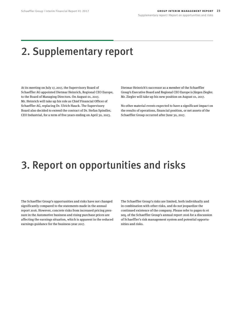## <span id="page-22-0"></span>2. Supplementary report

At its meeting on July 17, 2017, the Supervisory Board of Schaeffler AG appointed Dietmar Heinrich, Regional CEO Europe, to the Board of Managing Directors. On August 01, 2017, Mr. Heinrich will take up his role as Chief Financial Officer of Schaeffler AG, replacing Dr. Ulrich Hauck. The Supervisory Board also decided to extend the contract of Dr. Stefan Spindler, CEO Industrial, for a term of five years ending on April 30, 2023.

Dietmar Heinrich's successor as a member of the Schaeffler Group's Executive Board and Regional CEO Europe is Jürgen Ziegler. Mr. Ziegler will take up his new position on August 01, 2017.

No other material events expected to have a significant impact on the results of operations, financial position, or net assets of the Schaeffler Group occurred after June 30, 2017.

## 3. Report on opportunities and risks

The Schaeffler Group's opportunities and risks have not changed significantly compared to the statements made in the annual report 2016. However, concrete risks from increased pricing pressure in the Automotive business and rising purchase prices are affecting the earnings situation, which is apparent in the reduced earnings guidance for the business year 2017.

The Schaeffler Group's risks are limited, both individually and in combination with other risks, and do not jeopardize the continued existence of the company. Please refer to pages 61 et seq. of the Schaeffler Group's annual report 2016 for a discussion of Schaeffler's risk management system and potential opportunities and risks.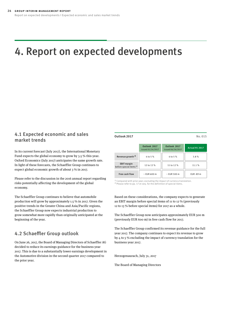## <span id="page-23-0"></span>4. Report on expected developments

### 4.1 Expected economic and sales market trends

In its current forecast (July 2017), the International Monetary Fund expects the global economy to grow by 3.5 % this year. Oxford Economics (July 2017) anticipates the same growth rate. In light of these forecasts, the Schaeffler Group continues to expect global economic growth of about 3 % in 2017.

Please refer to the discussion in the 2016 annual report regarding risks potentially affecting the development of the global economy.

The Schaeffler Group continues to believe that automobile production will grow by approximately 1.5 % in 2017. Given the positive trends in the Greater China and Asia/Pacific regions, the Schaeffler Group now expects industrial production to grow somewhat more rapidly than originally anticipated at the beginning of the year.

### 4.2 Schaeffler Group outlook

On June 26, 2017, the Board of Managing Directors of Schaeffler AG decided to reduce its earnings guidance for the business year 2017. This is due to a substantially lower earnings development in the Automotive division in the second quarter 2017 compared to the prior year.

#### <span id="page-23-1"></span>**Outlook 2017** No. 015

|                                                          | Outlook 2017<br>issued 01/24/2017 | Outlook 2017<br>issued 06/26/2017 | Actual H1 2017 |
|----------------------------------------------------------|-----------------------------------|-----------------------------------|----------------|
| Revenue growth <sup>1)</sup>                             | 4 to 5 %                          | 4 to 5 %                          | $3.8\%$        |
| <b>EBIT</b> margin<br>before special items <sup>2)</sup> | 12 to 13 %                        | 11 to 12 %                        | 11.1%          |
| Free cash flow                                           | $\sim$ EUR 600 m                  | $\sim$ EUR 500 m                  | EUR-89 m       |

 $1)$  Compared with prior year; excluding the impact of currency translation. 2) Please refer to [pp. 17](#page-16-0) et seq. for the definition of special items.

Based on these considerations, the company expects to generate an EBIT margin before special items of 11 to 12 % (previously 12 to 13 % before special items) for 2017 as a whole.

The Schaeffler Group now anticipates approximately EUR 500 m (previously EUR 600 m) in free cash flow for 2017.

The Schaeffler Group confirmed its revenue guidance for the full year 2017. The company continues to expect its revenue to grow by 4 to 5 % excluding the impact of currency translation for the business year 2017.

Herzogenaurach, July 31, 2017

The Board of Managing Directors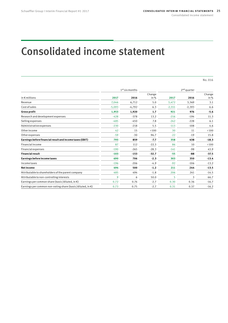## <span id="page-24-1"></span><span id="page-24-0"></span>Consolidated income statement

No. 016

|                                                                      |          | $1st$ six months |                  | $2nd$ quarter |          |               |
|----------------------------------------------------------------------|----------|------------------|------------------|---------------|----------|---------------|
| in $\epsilon$ millions                                               | 2017     | 2016             | Change<br>in $%$ | 2017          | 2016     | Change<br>in% |
| Revenue                                                              | 7,046    | 6,712            | 5.0              | 3,472         | 3,369    | 3.1           |
| Cost of sales                                                        | $-5,093$ | $-4,792$         | 6.3              | $-2,551$      | $-2,393$ | 6.6           |
| <b>Gross profit</b>                                                  | 1,953    | 1,920            | 1.7              | 921           | 976      | $-5.6$        |
| Research and development expenses                                    | $-428$   | $-378$           | 13.2             | $-216$        | $-194$   | 11.3          |
| Selling expenses                                                     | $-485$   | $-450$           | 7.8              | $-242$        | $-228$   | 6.1           |
| Administrative expenses                                              | $-230$   | $-218$           | 5.5              | $-113$        | $-108$   | 4.6           |
| Other income                                                         | 42       | 15               | >100             | 30            | 11       | >100          |
| Other expenses                                                       | $-59$    | $-30$            | 96.7             | $-22$         | $-19$    | 15.8          |
| Earnings before financial result and income taxes (EBIT)             | 793      | 859              | $-7.7$           | 358           | 438      | $-18.3$       |
| <b>Financial income</b>                                              | 87       | 112              | $-22.3$          | 86            | 10       | >100          |
| <b>Financial expenses</b>                                            | $-190$   | $-265$           | $-28.3$          | $-141$        | $-98$    | 43.9          |
| <b>Financial result</b>                                              | $-103$   | $-153$           | $-32.7$          | $-55$         | -88      | $-37.5$       |
| Earnings before income taxes                                         | 690      | 706              | $-2.3$           | 303           | 350      | $-13.4$       |
| Income taxes                                                         | $-196$   | $-206$           | $-4.9$           | $-92$         | $-106$   | $-13.2$       |
| <b>Net income</b>                                                    | 494      | 500              | $-1.2$           | 211           | 244      | $-13.5$       |
| Attributable to shareholders of the parent company                   | 485      | 494              | $-1.8$           | 206           | 241      | $-14.5$       |
| Attributable to non-controlling interests                            | 9        | 6                | 50.0             | 5             | 3        | 66.7          |
| Earnings per common share (basic/diluted, in $\epsilon$ )            | 0.72     | 0.74             | $-2.7$           | 0.30          | 0.36     | $-16.7$       |
| Earnings per common non-voting share (basic/diluted, in $\epsilon$ ) | 0.73     | 0.75             | $-2.7$           | 0.31          | 0.37     | $-16.2$       |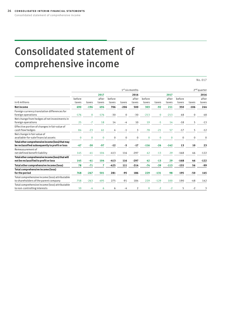# <span id="page-25-1"></span><span id="page-25-0"></span>Consolidated statement of comprehensive income

No. 017

|                                                                                                    |                 |              |                |                 |             | $1st$ six months |                 |             |                |                 |              | 2 <sup>nd</sup> quarter |
|----------------------------------------------------------------------------------------------------|-----------------|--------------|----------------|-----------------|-------------|------------------|-----------------|-------------|----------------|-----------------|--------------|-------------------------|
|                                                                                                    |                 |              | 2017           |                 |             | 2016             |                 |             | 2017           |                 |              | 2016                    |
| in $\epsilon$ millions                                                                             | before<br>taxes | taxes        | after<br>taxes | before<br>taxes | taxes       | after<br>taxes   | before<br>taxes | taxes       | after<br>taxes | before<br>taxes | taxes        | after<br>taxes          |
| <b>Net income</b>                                                                                  | 690             | $-196$       | 494            | 706             | $-206$      | 500              | 303             | $-92$       | 211            | 350             | $-106$       | 244                     |
| Foreign currency translation differences for<br>foreign operations                                 | $-176$          | $\mathbf{0}$ | $-176$         | $-30$           | 0           | $-30$            | $-213$          | $\mathbf 0$ | $-213$         | 48              | $\mathbf 0$  | 48                      |
| Net change from hedges of net investments in<br>foreign operations                                 | 25              | $-7$         | 18             | 14              | $-4$        | 10               | 19              | $-5$        | 14             | $-18$           | 5            | $-13$                   |
| Effective portion of changes in fair value of<br>cash flow hedges                                  | 84              | $-23$        | 61             | 4               | $-1$        | 3                | 78              | $-21$       | 57             | $-17$           | 5            | $-12$                   |
| Net change in fair value of<br>available-for-sale financial assets                                 | $\mathbf 0$     | $\mathbf{0}$ | $\mathbf 0$    | $\mathbf 0$     | $\mathbf 0$ | $\mathbf 0$      | $\mathbf{0}$    | $\mathbf 0$ | $\mathbf 0$    | $\mathbf 0$     | $\mathbf{0}$ | 0                       |
| Total other comprehensive income (loss) that may<br>be reclassified subsequently to profit or loss | $-67$           | $-30$        | $-97$          | $-12$           | -5          | $-17$            | $-116$          | $-26$       | $-142$         | 13              | 10           | 23                      |
| Remeasurement of<br>net defined benefit liability                                                  | 145             | $-41$        | 104            | $-413$          | 116         | $-297$           | 42              | $-13$       | 29             | $-168$          | 46           | $-122$                  |
| Total other comprehensive income (loss) that will<br>not be reclassified to profit or loss         | 145             | $-41$        | 104            | $-413$          | 116         | $-297$           | 42              | $-13$       | 29             | $-168$          | 46           | $-122$                  |
| Total other comprehensive income (loss)                                                            | 78              | $-71$        | 7              | $-425$          | 111         | $-314$           | $-74$           | $-39$       | $-113$         | $-155$          | 56           | -99                     |
| Total comprehensive income (loss)<br>for the period                                                | 768             | $-267$       | 501            | 281             | $-95$       | 186              | 229             | $-131$      | 98             | 195             | $-50$        | 145                     |
| Total comprehensive income (loss) attributable<br>to shareholders of the parent company            | 758             | $-263$       | 495            | 275             | $-91$       | 184              | 229             | $-129$      | 100            | 190             | $-48$        | 142                     |
| Total comprehensive income (loss) attributable<br>to non-controlling interests                     | 10              | $-4$         | 6              | 6               | -4          | $\overline{2}$   | $\mathbf{0}$    | $-2$        | $-2$           | 5               | $-2$         | 3                       |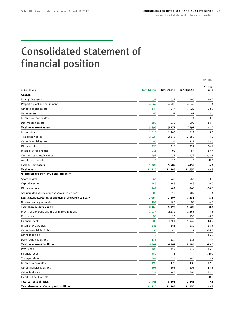## <span id="page-26-1"></span><span id="page-26-0"></span>Consolidated statement of financial position

|                                                           |                 |                 |             | No.018  |
|-----------------------------------------------------------|-----------------|-----------------|-------------|---------|
|                                                           |                 |                 |             | Change  |
| in $\epsilon$ millions                                    | 06/30/2017      | 12/31/2016      | 06/30/2016  | in%     |
| <b>ASSETS</b>                                             |                 |                 |             |         |
| Intangible assets                                         | 631             | 632             | 585         | $-0.2$  |
| Property, plant and equipment                             | 4,569           | 4,507           | 4,242       | 1.4     |
| Other financial assets                                    | 147             | 217             | 1,922       | $-32.3$ |
| Otherassets                                               | 60              | 51              | 41          | 17.6    |
| Income tax receivables                                    | $\mathbf 0$     | $\mathbf 0$     | 4           | 0.0     |
| Deferred tax assets                                       | 488             | 572             | 603         | $-14.7$ |
| <b>Total non-current assets</b>                           | 5,895           | 5,979           | 7,397       | $-1.4$  |
| Inventories                                               | 2,010           | 1,905           | 1,914       | 5.5     |
| Trade receivables                                         | 2,327           | 2,218           | 2,266       | 4.9     |
| Other financial assets                                    | 85              | 55              | 119         | 54.5    |
| Otherassets                                               | 293             | 218             | 222         | 34.4    |
| Income tax receivables                                    | 111             | 93              | 64          | 19.4    |
| Cash and cash equivalents                                 | 399             | 1,071           | 572         | $-62.7$ |
| Assets held for sale                                      | $\mathbf 0$     | 25              | $\mathbf 0$ | $-100$  |
| <b>Total current assets</b>                               | 5,225           | 5,585           | 5,157       | $-6.4$  |
| <b>Total assets</b>                                       | 11,120          | 11,564          | 12,554      | $-3.8$  |
| SHAREHOLDERS' EQUITY AND LIABILITIES                      |                 |                 |             |         |
| Share capital                                             | 666             | 666             | 666         | 0.0     |
| Capital reserves                                          | 2,348           | 2,348           | 2,348       | 0.0     |
| Other reserves                                            | $-247$          | $-404$          | $-769$      | $-38.9$ |
| Accumulated other comprehensive income (loss)             | $-703$          | $-713$          | $-909$      | $-1.4$  |
| Equity attributable to shareholders of the parent company | 2,064           | 1,897           | 1,336       | 8.8     |
| Non-controlling interests                                 | 104             | 100             | 89          | 4.0     |
| Total shareholders' equity                                | 2,168           | 1,997           | 1,425       | 8.6     |
| Provisions for pensions and similar obligations           | 2,077           | 2,182           | 2,358       | $-4.8$  |
| Provisions                                                | 88              | 96              | 138         | $-8.3$  |
| Financial debt                                            | 3,003           | 3,704           | 5,442       | $-18.9$ |
| Income tax payables                                       | 141             | 163             | 219         | $-13.5$ |
| Other financial liabilities                               | 55              | 86              | 7           | $-36.0$ |
| <b>Other liabilities</b>                                  | $\overline{7}$  | 6               | 6           | 16.7    |
| Deferred tax liabilities                                  | 136             | 124             | 116         | 9.7     |
| <b>Total non-current liabilities</b>                      | 5,507           | 6,361           | 8,286       | $-13.4$ |
| Provisions                                                | 300             | 354             | 419         | $-15.3$ |
| Financial debt                                            | 352             | 3               | 4           | >100    |
| Trade payables                                            | 1,581           | 1,625           | 1,384       | $-2.7$  |
| Income tax payables                                       | 198             | 176             | 135         | 12.5    |
| Other financial liabilities                               | 593             | 696             | 506         | $-14.8$ |
| Other liabilities                                         | 421             | 344             | 395         | 22.4    |
| Liabilities held for sale                                 | $\mathbf 0$     | 8               | 0           | $-100$  |
| <b>Total current liabilities</b>                          |                 |                 | 2,843       | 7.5     |
| Total shareholders' equity and liabilities                | 3,445<br>11,120 | 3,206<br>11,564 | 12,554      | $-3.8$  |
|                                                           |                 |                 |             |         |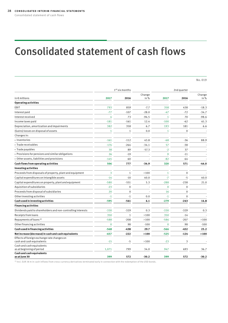## <span id="page-27-1"></span><span id="page-27-0"></span>Consolidated statement of cash flows

No. 019

|              |              |                         | 2nd quarter    |             |               |
|--------------|--------------|-------------------------|----------------|-------------|---------------|
| 2017         | 2016         | Change<br>in%           | 2017           | 2016        | Change<br>in% |
|              |              |                         |                |             |               |
| 793          | 859          | $-7.7$                  | 358            | 438         | $-18.3$       |
| $-77$        | $-107$       | $-28.0$                 | $-47$          | $-72$       | $-34.7$       |
| 4            | 73           | $-94.5$                 | $\mathbf{1}$   | 70          | $-98.6$       |
| $-181$       | $-161$       | 12.4                    | $-100$         | $-62$       | 61.3          |
| 382          | 358          | 6.7                     | 193            | 181         | 6.6           |
| $\mathbf{1}$ | $\mathbf{1}$ | 0.0                     | $\mathbf{1}$   | $\pmb{0}$   |               |
|              |              |                         |                |             |               |
| $-161$       | $-112$       | 43.8                    | $-68$          | $-36$       | 88.9          |
| $-174$       | $-264$       | $-34.1$                 | 57             | $-38$       |               |
| 38           | 89           | $-57.3$                 | $-2$           | 37          |               |
| 26           | $-19$        |                         | 9              | $-11$       |               |
| $-145$       | 60           |                         | $-82$          | 64          |               |
| 506          | 777          | $-34.9$                 | 320            | 571         | $-44.0$       |
|              |              |                         |                |             |               |
| 3            | $\mathbf{1}$ | >100                    | $\mathbf{1}$   | $\mathbf 0$ |               |
| $-14$        | $-10$        | 40.0                    | $-7$           | $-5$        | 40.0          |
| $-580$       | $-551$       | 5.3                     | $-288$         | $-238$      | 21.0          |
| $-23$        | $\mathbf 0$  |                         | $\mathbf 0$    | 0           |               |
| 20           | $\mathbf 0$  |                         | 16             | $\mathbf 0$ |               |
| $-1$         | $-1$         | 0.0                     | $-1$           | $\mathbf 0$ |               |
| -595         | $-561$       | 6.1                     | $-279$         | $-243$      | 14.8          |
|              |              |                         |                |             |               |
| $-330$       | $-329$       | 0.3                     | $-330$         | $-329$      | 0.3           |
| 350          | $\mathbf{1}$ | >100                    | 350            | $-14$       |               |
| $-588$       | $-208$       | >100                    | $-586$         | $-207$      | >100          |
| $\mathbf{0}$ | 98           | $-100$                  | $\overline{0}$ | 98          | $-100$        |
| $-568$       | $-438$       | 29.7                    | $-566$         | -452        | 25.2          |
| $-657$       | $-222$       | >100                    | $-525$         | $-124$      | >100          |
|              |              |                         |                |             |               |
| $-15$        | $-5$         | >100                    | $-23$          | 3           |               |
|              |              |                         |                |             | 36.7          |
|              |              |                         |                |             |               |
| 399          | 572          | $-30.2$                 | 399            | 572         | $-30.2$       |
|              | 1,071        | $1st$ six months<br>799 | 34.0           | 947         | 693           |

 $1)$  Incl. EUR 38 m in cash inflows from cross-currency derivatives terminated early in connection with the redemption of the USD bonds.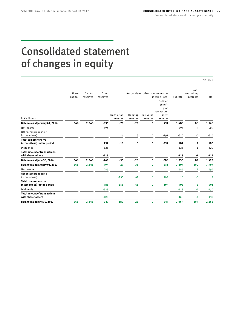## <span id="page-28-1"></span><span id="page-28-0"></span>Consolidated statement of changes in equity

No. 020

|                                                            | Share   | Other<br>Accumulated other comprehensive<br>Capital |          |                        |                    |                      |                                                             |          |                          |                |
|------------------------------------------------------------|---------|-----------------------------------------------------|----------|------------------------|--------------------|----------------------|-------------------------------------------------------------|----------|--------------------------|----------------|
|                                                            | capital | reserves                                            | reserves |                        |                    |                      | income (loss)                                               | Subtotal | controlling<br>interests | Total          |
| in $\epsilon$ millions                                     |         |                                                     |          | Translation<br>reserve | Hedging<br>reserve | Fairvalue<br>reserve | Defined<br>benefit<br>plan<br>remeasure-<br>ment<br>reserve |          |                          |                |
| Balance as at January 01, 2016                             | 666     | 2,348                                               | $-935$   | $-79$                  | $-29$              | 0                    | $-491$                                                      | 1,480    | 88                       | 1,568          |
| Netincome                                                  |         |                                                     | 494      |                        |                    |                      |                                                             | 494      | 6                        | 500            |
| Othercomprehensive<br>income (loss)                        |         |                                                     |          | $-16$                  | 3                  | 0                    | $-297$                                                      | $-310$   | -4                       | $-314$         |
| <b>Total comprehensive</b><br>income (loss) for the period |         |                                                     | 494      | $-16$                  | 3                  | 0                    | $-297$                                                      | 184      | $\overline{2}$           | 186            |
| Dividends                                                  |         |                                                     | $-328$   |                        |                    |                      |                                                             | $-328$   | $-1$                     | $-329$         |
| <b>Total amount of transactions</b><br>with shareholders   |         |                                                     | $-328$   |                        |                    |                      |                                                             | $-328$   | -1                       | $-329$         |
| Balance as at June 30, 2016                                | 666     | 2,348                                               | $-769$   | $-95$                  | $-26$              | 0                    | $-788$                                                      | 1,336    | 89                       | 1,425          |
| Balance as at January 01, 2017                             | 666     | 2,348                                               | $-404$   | $-27$                  | $-35$              | $\bf{0}$             | $-651$                                                      | 1,897    | 100                      | 1,997          |
| Net income                                                 |         |                                                     | 485      |                        |                    |                      |                                                             | 485      | 9                        | 494            |
| Other comprehensive<br>income (loss)                       |         |                                                     |          | $-155$                 | 61                 | $\mathbf{0}$         | 104                                                         | 10       | $-3$                     | $\overline{7}$ |
| <b>Total comprehensive</b><br>income (loss) for the period |         |                                                     | 485      | $-155$                 | 61                 | $\bf{0}$             | 104                                                         | 495      | 6                        | 501            |
| Dividends                                                  |         |                                                     | $-328$   |                        |                    |                      |                                                             | $-328$   | $-2$                     | $-330$         |
| <b>Total amount of transactions</b><br>with shareholders   |         |                                                     | $-328$   |                        |                    |                      |                                                             | $-328$   | $-2$                     | $-330$         |
| Balance as at June 30, 2017                                | 666     | 2,348                                               | $-247$   | $-182$                 | 26                 | $\bf{0}$             | $-547$                                                      | 2,064    | 104                      | 2,168          |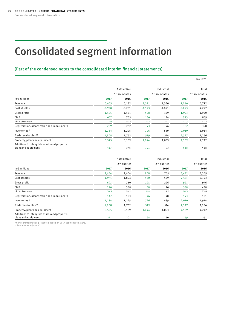## <span id="page-29-1"></span><span id="page-29-0"></span>Consolidated segment information

#### (Part of the condensed notes to the consolidated interim financial statements)

No. 021

|                                                                     | Automotive |                  | Industrial | Total            |          |                  |
|---------------------------------------------------------------------|------------|------------------|------------|------------------|----------|------------------|
|                                                                     |            | $1st$ six months |            | $1st$ six months |          | $1st$ six months |
| in $\epsilon$ millions                                              | 2017       | 2016             | 2017       | 2016             | 2017     | 2016             |
| Revenue                                                             | 5,455      | 5,182            | 1,591      | 1,530            | 7,046    | 6,712            |
| Cost of sales                                                       | $-3,970$   | $-3,701$         | $-1,123$   | $-1,091$         | $-5,093$ | $-4,792$         |
| Gross profit                                                        | 1,485      | 1,481            | 468        | 439              | 1,953    | 1,920            |
| EBIT                                                                | 657        | 735              | 136        | 124              | 793      | 859              |
| • in % of revenue                                                   | 12.0       | 14.2             | 8.5        | 8.1              | 11.3     | 12.8             |
| Depreciation, amortization and impairments                          | $-289$     | $-262$           | $-93$      | $-96$            | $-382$   | $-358$           |
| Inventories <sup>1)</sup>                                           | 1,284      | 1,225            | 726        | 689              | 2,010    | 1,914            |
| Trade receivables <sup>1)</sup>                                     | 1,808      | 1,752            | 519        | 514              | 2,327    | 2,266            |
| Property, plant and equipment <sup>1)</sup>                         | 3,525      | 3,189            | 1,044      | 1,053            | 4,569    | 4,242            |
| Additions to intangible assets and property,<br>plant and equipment | 437        | 375              | 101        | 93               | 538      | 468              |

|                                                                     | Automotive |                         | Industrial | Total         |          |                         |
|---------------------------------------------------------------------|------------|-------------------------|------------|---------------|----------|-------------------------|
|                                                                     |            | 2 <sup>nd</sup> quarter |            | $2nd$ quarter |          | 2 <sup>nd</sup> quarter |
| in $\epsilon$ millions                                              | 2017       | 2016                    | 2017       | 2016          | 2017     | 2016                    |
| Revenue                                                             | 2,664      | 2,604                   | 808        | 765           | 3,472    | 3,369                   |
| Cost of sales                                                       | $-1,971$   | $-1,854$                | $-580$     | $-539$        | $-2,551$ | $-2,393$                |
| Gross profit                                                        | 693        | 750                     | 228        | 226           | 921      | 976                     |
| <b>EBIT</b>                                                         | 290        | 368                     | 68         | 70            | 358      | 438                     |
| • in % of revenue                                                   | 10.9       | 14.1                    | 8.4        | 9.2           | 10.3     | 13.0                    |
| Depreciation, amortization and impairments                          | $-147$     | $-133$                  | $-46$      | -48           | $-193$   | $-181$                  |
| Inventories <sup>1)</sup>                                           | 1,284      | 1,225                   | 726        | 689           | 2,010    | 1,914                   |
| Trade receivables <sup>1)</sup>                                     | 1,808      | 1,752                   | 519        | 514           | 2,327    | 2,266                   |
| Property, plant and equipment <sup>1)</sup>                         | 3,525      | 3,189                   | 1,044      | 1,053         | 4,569    | 4,242                   |
| Additions to intangible assets and property,<br>plant and equipment | 211        | 201                     | 48         | 50            | 259      | 251                     |

Prior year information presented based on 2017 segment structure. 1) Amounts as at June 30.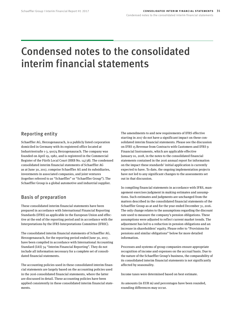## <span id="page-30-0"></span>Condensed notes to the consolidated interim financial statements

### Reporting entity

Schaeffler AG, Herzogenaurach, is a publicly listed corporation domiciled in Germany with its registered office located at Industriestraße 1-3, 91074 Herzogenaurach. The company was founded on April 19, 1982, and is registered in the Commercial Register of the Fürth Local Court (HRB No. 14738). The condensed consolidated interim financial statements of Schaeffler AG as at June 30, 2017, comprise Schaeffler AG and its subsidiaries, investments in associated companies, and joint ventures (together referred to as "Schaeffler" or "Schaeffler Group"). The Schaeffler Group is a global automotive and industrial supplier.

### Basis of preparation

These consolidated interim financial statements have been prepared in accordance with International Financial Reporting Standards (IFRS) as applicable in the European Union and effective at the end of the reporting period and in accordance with the Interpretations by the IFRS Interpretations Committee (IFRIC).

The consolidated interim financial statements of Schaeffler AG, Herzogenaurach, for the reporting period ended June 30, 2017, have been compiled in accordance with International Accounting Standard (IAS) 34 "Interim Financial Reporting". They do not include all information necessary for a complete set of consolidated financial statements.

The accounting policies used in these consolidated interim financial statements are largely based on the accounting policies used in the 2016 consolidated financial statements, where the latter are discussed in detail. These accounting policies have been applied consistently in these consolidated interim financial statements.

The amendments to and new requirements of IFRS effective starting in 2017 do not have a significant impact on these consolidated interim financial statements. Please see the discussion on IFRS 15 Revenue from Contracts with Customers and IFRS 9 Financial Instruments, which are applicable effective January 01, 2018, in the notes to the consolidated financial statements contained in the 2016 annual report for information on the impact these standards' initial application is currently expected to have. To date, the ongoing implementation projects have not led to any significant changes to the assessments set out in that discussion.

In compiling financial statements in accordance with IFRS, management exercises judgment in making estimates and assumptions. Such estimates and judgments are unchanged from the matters described in the consolidated financial statements of the Schaeffler Group as at and for the year ended December 31, 2016. The only change relates to the assumptions regarding the discount rate used to measure the company's pension obligations. These assumptions were adjusted to reflect current market trends. The adjustment has led to a reduction in pension obligations and an increase in shareholders' equity. Please refer to "Provisions for pensions and similar obligations" below for more detailed information.

Processes and systems of group companies ensure appropriate recognition of income and expenses on the accrual basis. Due to the nature of the Schaeffler Group's business, the comparability of its consolidated interim financial statements is not significantly affected by seasonality.

Income taxes were determined based on best estimate.

As amounts (in EUR m) and percentages have been rounded, rounding differences may occur.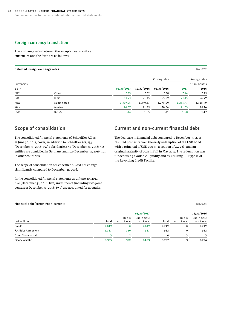#### Foreign currency translation

The exchange rates between the group's most significant currencies and the Euro are as follows:

#### <span id="page-31-0"></span>Selected foreign exchange rates No. 022

Closing rates **Average rates**  $\mathsf{Current}$   $\mathsf{1}$ st six months  $\mathsf{1}$ st six months  $\mathsf{1}$ st six months  $\mathsf{1}$ st six months  $\mathsf{1}$ st six months  $\mathsf{1}$ st six months  $\mathsf{1}$ st six months  $\mathsf{1}$ st six months  $\mathsf{1}$ st six months  $\mathsf{1}$ st six 1 € in **06/30/2017 12/31/2016 06/30/2016 2017 2016** CNY China 7.73 7.32 7.38 7.44 7.29 INR India 73.93 71.45 75.09 71.15 74.99 KRW South Korea 1,307.25 1,270.57 1,278.00 1,235.41 1,318.99 MXN Mexico 20.57 21.79 20.64 21.03 20.16 USD U.S.A. 1.14 1.05 1.11 1.08 1.12

### Scope of consolidation

The consolidated financial statements of Schaeffler AG as at June 30, 2017, cover, in addition to Schaeffler AG, 153 (December 31, 2016: 152) subsidiaries; 51 (December 31, 2016: 51) entities are domiciled in Germany and 102 (December 31, 2016: 101) in other countries.

The scope of consolidation of Schaeffler AG did not change significantly compared to December 31, 2016.

In the consolidated financial statements as at June 30, 2017, five (December 31, 2016: five) investments (including two joint ventures; December 31, 2016: two) are accounted for at equity.

### Current and non-current financial debt

The decrease in financial debt compared to December 31, 2016, resulted primarily from the early redemption of the USD bond with a principal of USD 700 m, a coupon of 4.25 %, and an original maturity of 2021 in full in May 2017. The redemption was funded using available liquidity and by utilizing EUR 350 m of the Revolving Credit Facility.

#### <span id="page-31-1"></span>Financial debt (current/non-current) No. 023

|                        |       | 06/30/2017             |                            |       |                        | 12/31/2016                 |  |  |  |
|------------------------|-------|------------------------|----------------------------|-------|------------------------|----------------------------|--|--|--|
| in $\epsilon$ millions | Total | Due in<br>up to 1 year | Due in more<br>than 1 year | Total | Due in<br>up to 1 year | Due in more<br>than 1 year |  |  |  |
| Bonds                  | 2,019 |                        | 2,019                      | 2,719 | 0                      | 2,719                      |  |  |  |
| Facilities Agreement   | 1,333 | 350                    | 983                        | 982   | $\Omega$               | 982                        |  |  |  |
| Other financial debt   |       |                        |                            | 6     |                        | $\mathcal{L}$              |  |  |  |
| <b>Financial debt</b>  | 3,355 | 352                    | 3,003                      | 3,707 |                        | 3,704                      |  |  |  |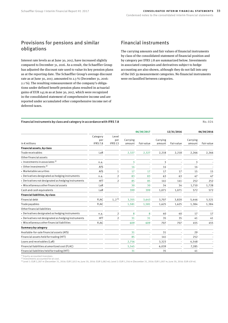### Provisions for pensions and similar obligations

Interest rate levels as at June 30, 2017, have increased slightly compared to December 31, 2016. As a result, the Schaeffler Group has adjusted the discount rate used to value its key pension plans as at the reporting date. The Schaeffler Group's average discount rate as at June 30, 2017, amounted to 2.3 % (December 31, 2016: 2.1 %). The resulting remeasurement of the company's obligations under defined benefit pension plans resulted in actuarial gains of EUR 145 m as at June 30, 2017, which were recognized in the consolidated statement of comprehensive income and are reported under accumulated other comprehensive income net of deferred taxes.

### Financial instruments

The carrying amounts and fair values of financial instruments by class of the consolidated statement of financial position and by category per IFRS 7.8 are summarized below. Investments in associated companies and derivatives subject to hedge accounting are also shown, although they do not fall into any of the IAS 39 measurement categories. No financial instruments were reclassified between categories.

#### <span id="page-32-0"></span>Financial instruments by class and category in accordance with IFRS 7.8  $\blacksquare$

**06/30/2017 12/31/2016 06/30/2016** in € millions Category per IFRS 7.8 Level per IFRS 13 Carrying amount Fair value Carrying amount Fair value Carrying amount Fair value **Financial assets, by class** Trade receivables LaR 2,327 2,327 2,218 2,218 2,266 2,266 Other financial assets • Investments in associates  $^{1}$  and  $^{1}$  and  $^{1}$  and  $^{1}$  and  $^{1}$  and  $^{1}$  and  $^{1}$  and  $^{1}$  and  $^{1}$  and  $^{1}$  and  $^{1}$  and  $^{1}$  and  $^{1}$  and  $^{1}$  and  $^{1}$  and  $^{1}$  and  $^{1}$  and  $^{1}$  and  $^{1}$  and  $^{1$ • Other investments  $^{2}$  and  $^{2}$  and  $^{2}$  and  $^{2}$  and  $^{2}$  and  $^{2}$  and  $^{2}$  and  $^{2}$  and  $^{2}$  and  $^{2}$  and  $^{2}$  and  $^{2}$  and  $^{2}$  and  $^{2}$  and  $^{2}$  and  $^{2}$  and  $^{2}$  and  $^{2}$  and  $^{2}$  and  $^{2}$  and • Marketable securities and the securities and the securities of the securities of the securities of the securities of the securities of the securities of the securities of the securities of the securities of the securitie • Derivatives designated as hedging instruments n.a. 2 83 83 63 63 47 47 • Derivatives not designated as hedging instruments HfT 2 85 85 141 141 252 252 • Miscellaneous other financial assets LaR 30 30 34 34 1,710 1,728 Cash and cash equivalents LaR 399 399 1,071 1,071 572 572 **Financial liabilities, by class** Financial debt FLAC  $1, 2$   $3$   $3, 355$   $3, 643$   $3, 707$   $3, 820$   $5, 446$   $5, 521$ Trade payables FLAC 1,581 1,581 1,625 1,625 1,384 1,384 Other financial liabilities • Derivatives designated as hedging instruments n.a. 2 8 8 40 40 17 17 • Derivatives not designated as hedging instruments HfT 2 31 31 35 35 41 41 • Miscellaneous other financial liabilities FLAC 609 609 707 707 455 455 **Summary by category** Available-for-sale financial assets (AfS) 31 - 31 - 29 Financial assets held for trading (HfT) 85 - 141 - 252 Loans and receivables (LaR) 2,756 - 3,323 - 4,548 - Financial liabilities at amortized cost (FLAC)  $5,545$   $6,039$   $7,285$ Financial liabilities held for trading (HfT) 31 - 35 - 41 -

1) Equity-accounted investees 2) Investments accounted for at cost.

3) Level 1: EUR 2,287 m (December 31, 2016: EUR 2,813 m; June 30, 2016: EUR 5,082 m); Level 2: EUR 1,356 m (December 31, 2016: EUR 1,007 m; June 30, 2016: EUR 439 m).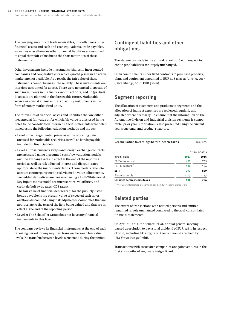The carrying amounts of trade receivables, miscellaneous other financial assets and cash and cash equivalents, trade payables, as well as miscellaneous other financial liabilities are assumed to equal their fair value due to the short maturities of these instruments.

Other investments include investments (shares in incorporated companies and cooperatives) for which quoted prices in an active market are not available. As a result, the fair value of these instruments cannot be measured reliably. These investments are therefore accounted for at cost. There were no partial disposals of such investments in the first six months of 2017, and no (partial) disposals are planned in the foreseeable future. Marketable securities consist almost entirely of equity instruments in the form of money market fund units.

The fair values of financial assets and liabilities that are either measured at fair value or for which fair value is disclosed in the notes to the consolidated interim financial statements were determined using the following valuation methods and inputs:

- Level 1: Exchange-quoted prices as at the reporting date are used for marketable securities as well as bonds payable included in financial debt.
- Level 2: Cross-currency swaps and foreign exchange contracts are measured using discounted cash flow valuation models and the exchange rates in effect at the end of the reporting period as well as risk-adjusted interest and discount rates appropriate to the instruments' terms. These models take into account counterparty credit risk via credit value adjustments. Embedded derivatives are measured using a Hull-White model. Key inputs to this model are interest rates, volatilities, and credit default swap rates (CDS rates).

The fair value of financial debt (except for the publicly listed bonds payable) is the present value of expected cash in- or outflows discounted using risk-adjusted discount rates that are appropriate to the term of the item being valued and that are in effect at the end of the reporting period.

• Level 3: The Schaeffler Group does not have any financial instruments in this level.

The company reviews its financial instruments at the end of each reporting period for any required transfers between fair value levels. No transfers between levels were made during the period.

### Contingent liabilities and other obligations

The statements made in the annual report 2016 with respect to contingent liabilities are largely unchanged.

Open commitments under fixed contracts to purchase property, plant and equipment amounted to EUR 406 m as at June 30, 2017 (December 31, 2016: EUR 320 m).

### Segment reporting

The allocation of customers and products to segments and the allocation of indirect expenses are reviewed regularly and adjusted where necessary. To ensure that the information on the Automotive division and Industrial division segments is comparable, prior year information is also presented using the current year's customer and product structure.

<span id="page-33-0"></span>

| Reconciliation to earnings before income taxes | No.025                     |        |  |  |
|------------------------------------------------|----------------------------|--------|--|--|
|                                                | 1 <sup>st</sup> six months |        |  |  |
| in $\epsilon$ millions                         | 2017                       | 2016   |  |  |
| EBIT Automotive <sup>1)</sup>                  | 657                        | 735    |  |  |
| EBIT Industrial <sup>1)</sup>                  | 136                        | 124    |  |  |
| EBIT                                           | 793                        | 859    |  |  |
| Financial result                               | $-103$                     | $-153$ |  |  |
| Earnings before income taxes                   | 690                        | 706    |  |  |

1) Prior year information presented based on 2017 segment structure.

### Related parties

The extent of transactions with related persons and entities remained largely unchanged compared to the 2016 consolidated financial statements.

On April 26, 2017, the Schaeffler AG annual general meeting passed a resolution to pay a total dividend of EUR 328 m in respect of 2016, including EUR 245 m on the common shares held by IHO Verwaltungs GmbH.

Transactions with associated companies and joint ventures in the first six months of 2017 were insignificant.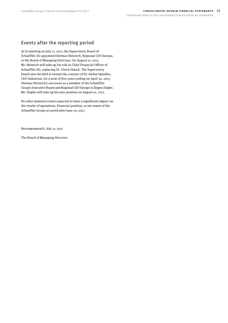### Events after the reporting period

At its meeting on July 17, 2017, the Supervisory Board of Schaeffler AG appointed Dietmar Heinrich, Regional CEO Europe, to the Board of Managing Directors. On August 01, 2017, Mr. Heinrich will take up his role as Chief Financial Officer of Schaeffler AG, replacing Dr. Ulrich Hauck. The Supervisory Board also decided to extend the contract of Dr. Stefan Spindler, CEO Industrial, for a term of five years ending on April 30, 2023. Dietmar Heinrich's successor as a member of the Schaeffler Group's Executive Board and Regional CEO Europe is Jürgen Ziegler. Mr. Ziegler will take up his new position on August 01, 2017.

No other material events expected to have a significant impact on the results of operations, financial position, or net assets of the Schaeffler Group occurred after June 30, 2017.

Herzogenaurach, July 31, 2017

The Board of Managing Directors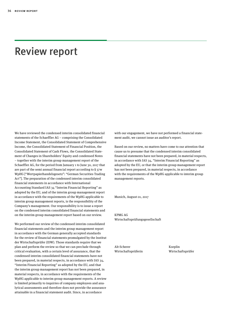## <span id="page-35-0"></span>Review report

We have reviewed the condensed interim consolidated financial statements of the Schaeffler AG – comprising the Consolidated Income Statement, the Consolidated Statement of Comprehensive Income, the Consolidated Statement of Financial Position, the Consolidated Statement of Cash Flows, the Consolidated Statement of Changes in Shareholders' Equity and condensed Notes – together with the interim group management report of the Schaeffler AG, for the period from January 1 to June 30, 2017 that are part of the semi annual financial report according to § 37w WpHG ["Wertpapierhandelsgesetz": "German Securities Trading Act"]. The preparation of the condensed interim consolidated financial statements in accordance with International Accounting Standard IAS 34 "Interim Financial Reporting" as adopted by the EU, and of the interim group management report in accordance with the requirements of the WpHG applicable to interim group management reports, is the responsibility of the Company's management. Our responsibility is to issue a report on the condensed interim consolidated financial statements and on the interim group management report based on our review.

We performed our review of the condensed interim consolidated financial statements and the interim group management report in accordance with the German generally accepted standards for the review of financial statements promulgated by the Institut der Wirtschaftsprüfer (IDW). Those standards require that we plan and perform the review so that we can preclude through critical evaluation, with a certain level of assurance, that the condensed interim consolidated financial statements have not been prepared, in material respects, in accordance with IAS 34, "Interim Financial Reporting" as adopted by the EU, and that the interim group management report has not been prepared, in material respects, in accordance with the requirements of the WpHG applicable to interim group management reports. A review is limited primarily to inquiries of company employees and analytical assessments and therefore does not provide the assurance attainable in a financial statement audit. Since, in accordance

with our engagement, we have not performed a financial statement audit, we cannot issue an auditor's report.

Based on our review, no matters have come to our attention that cause us to presume that the condensed interim consolidated financial statements have not been prepared, in material respects, in accordance with IAS 34, "Interim Financial Reporting" as adopted by the EU, or that the interim group management report has not been prepared, in material respects, in accordance with the requirements of the WpHG applicable to interim group management reports.

Munich, August 01, 2017

KPMG AG Wirtschaftsprüfungsgesellschaft

Alt-Scherer Koeplin Wirtschaftsprüferin Wirtschaftsprüfer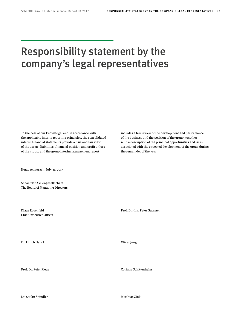## <span id="page-36-0"></span>Responsibility statement by the company's legal representatives

To the best of our knowledge, and in accordance with the applicable interim reporting principles, the consolidated interim financial statements provide a true and fair view of the assets, liabilities, financial position and profit or loss of the group, and the group interim management report

Herzogenaurach, July 31, 2017

Schaeffler Aktiengesellschaft The Board of Managing Directors

Chief Executive Officer

Dr. Ulrich Hauck Oliver Jung

Dr. Stefan Spindler Matthias Zink

includes a fair review of the development and performance of the business and the position of the group, together with a description of the principal opportunities and risks associated with the expected development of the group during the remainder of the year.

Klaus Rosenfeld Prof. Dr.-Ing. Peter Gutzmer

Prof. Dr. Peter Pleus Corinna Schittenhelm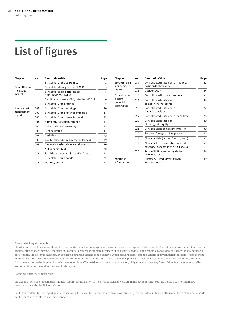## <span id="page-37-0"></span>List of figures

| Chapter                               | No. | <b>Description/title</b>                             | Page           |
|---------------------------------------|-----|------------------------------------------------------|----------------|
|                                       |     | Schaeffler Group at a glance                         | $\overline{2}$ |
| Schaeffleron                          |     | Schaeffler share price trend 2017                    | 5              |
| the capital<br>markets                |     | Schaeffler share performance<br>(ISIN: DE000SHA0159) | 5              |
|                                       |     | Credit default swap (CDS) price trend 2017           | 6              |
|                                       |     | Schaeffler Group ratings                             | 6              |
| Group interim<br>management<br>report | 001 | Schaeffler Group earnings                            | 10             |
|                                       | 002 | Schaeffler Group revenue by region                   | 11             |
|                                       | 003 | Schaeffler Group financial result                    | 12             |
|                                       | 004 | Automotive division earnings                         | 13             |
|                                       | 005 | Industrial division earnings                         | 15             |
|                                       | 006 | Reconciliation                                       | 17             |
|                                       | 007 | Cash flow                                            | 19             |
|                                       | 008 | Capital expenditures by region (capex)               | 19             |
|                                       | 009 | Change in cash and cash equivalents                  | 20             |
|                                       | 010 | Net financial debt                                   | 20             |
|                                       | 011 | Facilities Agreement Schaeffler Group                | 21             |
|                                       | 012 | Schaeffler Group bonds                               | 21             |
|                                       | 013 | Maturity profile                                     | 22             |

| Chapter                                            | No. | <b>Description/title</b>                                                   | Page |
|----------------------------------------------------|-----|----------------------------------------------------------------------------|------|
| Group interim<br>management                        | 014 | Consolidated statement of financial<br>position (abbreviated)              | 22   |
| report                                             | 015 | Outlook 2017                                                               | 24   |
| Consolidated<br>interim<br>financial<br>statements | 016 | Consolidated income statement                                              | 25   |
|                                                    | 017 | Consolidated statement of<br>comprehensive income                          | 26   |
|                                                    | 018 | Consolidated statement of<br>financial position                            | 27   |
|                                                    | 019 | Consolidated statement of cash flows                                       | 28   |
|                                                    | 020 | Consolidated statement<br>of changes in equity                             | 29   |
|                                                    | 021 | Consolidated segment information                                           | 30   |
|                                                    | 022 | Selected foreign exchange rates                                            | 32   |
|                                                    | 023 | Financial debt (current/non-current)                                       | 32   |
|                                                    | 024 | Financial instruments by class and<br>category in accordance with IFRS 7.8 | 33   |
|                                                    | 025 | Reconciliation to earnings before<br>income taxes                          | 34   |
| Additional<br>information                          |     | Summary $-1$ <sup>st</sup> quarter 2016 to<br>2 <sup>nd</sup> quarter 2017 | 39   |

#### **Forward-looking statements**

This document contains forward-looking statements that reflect management's current views with respect to future events. Such statements are subject to risks and uncertainties that are beyond Schaeffler AG's ability to control or estimate precisely, such as future market and economic conditions, the behavior of other market participants, the ability to successfully integrate acquired businesses and achieve anticipated synergies, and the actions of government regulators. If any of these or other risks and uncertainties occur, or if the assumptions underlying any of these statements prove incorrect, then actual results may be materially different from those expressed or implied by such statements. Schaeffler AG does not intend or assume any obligation to update any forward-looking statements to reflect events or circumstances after the date of this report.

Rounding differences may occur.

This English version of the interim financial report is a translation of the original German version; in the event of variances, the German version shall take precedence over the English translation.

For better readability, this report generally uses only the masculine form when referring to groups of persons. Unless indicated otherwise, these statements should not be construed to refer to a specific gender.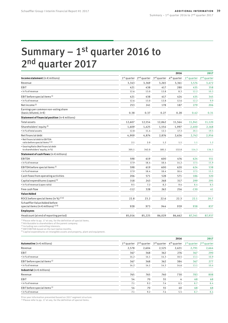## <span id="page-38-1"></span><span id="page-38-0"></span>Summary  $-1$ <sup>st</sup> quarter 2016 to 2<sup>nd</sup> quarter 2017

|                                                                                    |               |               |                         |                         |               | 2017                    |
|------------------------------------------------------------------------------------|---------------|---------------|-------------------------|-------------------------|---------------|-------------------------|
| Income statement (in $\epsilon$ millions)                                          | $1st$ quarter | $2nd$ quarter | 3 <sup>rd</sup> quarter | 4 <sup>th</sup> quarter | $1st$ quarter | 2 <sup>nd</sup> quarter |
| Revenue                                                                            | 3,343         | 3,369         | 3,265                   | 3,361                   | 3,574         | 3,472                   |
| <b>EBIT</b>                                                                        | 421           | 438           | 417                     | 280                     | 435           | 358                     |
| • in % of revenue                                                                  | 12.6          | 13.0          | 12.8                    | 8.3                     | 12.2          | 10.3                    |
| EBIT before special items <sup>1)</sup>                                            | 421           | 438           | 417                     | 424                     | 435           | 345                     |
| • in % of revenue                                                                  | 12.6          | 13.0          | 12.8                    | 12.6                    | 12.2          | 9.9                     |
| Net income <sup>2)</sup>                                                           | 253           | 241           | 178                     | 187                     | 279           | 206                     |
| Earnings per common non-voting share<br>$(basic/diluted, in \in)$                  | 0.38          | 0.37          | 0.27                    | 0.28                    | 0.42          | 0.31                    |
| Statement of financial position (in € millions)                                    |               |               |                         |                         |               |                         |
| <b>Total assets</b>                                                                | 12,607        | 12,554        | 12,862                  | 11,564                  | 11,941        | 11,120                  |
| Shareholders' equity <sup>3)</sup>                                                 | 1,609         | 1,425         | 1,554                   | 1,997                   | 2,400         | 2,168                   |
| • in % of total assets                                                             | 12.8          | 11.4          | 12.1                    | 17.3                    | 20.1          | 19.5                    |
| Net financial debt                                                                 | 4,909         | 4,874         | 2,876                   | 2,636                   | 2,742         | 2,956                   |
| · Net financial debt to EBITDA<br>ratio before special items <sup>1) 4)</sup>      | 2.1           | 2.0           | 1.2                     | 1.1                     | 1.1           | 1.2                     |
| · Gearing Ratio (Net financial debt<br>to shareholders' equity, in %)              | 305.1         | 342.0         | 185.1                   | 132.0                   | 114.3         | 136.3                   |
| Statement of cash flows (in $\epsilon$ millions)                                   |               |               |                         |                         |               |                         |
| <b>EBITDA</b>                                                                      | 598           | 619           | 600                     | 476                     | 624           | 551                     |
| • in % of revenue                                                                  | 17.9          | 18.4          | 18.4                    | 14.2                    | 17.5          | 15.9                    |
| EBITDA before special items <sup>1)</sup>                                          | 598           | 619           | 600                     | 620                     | 624           | 538                     |
| · in % of revenue                                                                  | 17.9          | 18.4          | 18.4                    | 18.4                    | 17.5          | 15.5                    |
| Cash flows from operating activities                                               | 206           | 571           | 528                     | 571                     | 186           | 320                     |
| Capital expenditures (capex) <sup>5)</sup>                                         | 318           | 243           | 268                     | 317                     | 299           | 295                     |
| • in % of revenue (capex ratio)                                                    | 9.5           | 7.2           | 8.2                     | 9.4                     | 8.4           | 8.5                     |
| Free cash flow                                                                     | $-112$        | 328           | 263                     | 256                     | $-130$        | 41                      |
| <b>Value Added</b>                                                                 |               |               |                         |                         |               |                         |
| ROCE before special items (in %) $^{1/4}$                                          | 22.8          | 23.2          | 22.6                    | 22.3                    | 22.1          | 20.7                    |
| Schaeffler Value Added before<br>special items (in $\in$ millions) <sup>1)4)</sup> | 928           | 973           | 944                     | 939                     | 938           | 837                     |
| <b>Employees</b>                                                                   |               |               |                         |                         |               |                         |
| Headcount (at end of reporting period)                                             | 85,016        | 85,225        | 86,029                  | 86,662                  | 87,341        | 87,937                  |
|                                                                                    |               |               |                         |                         |               |                         |

1) Please refer to [pp. 17](#page-16-0) et seq. for the definition of special items.

<sup>2)</sup> Attributable to shareholders of the parent company.<br><sup>3)</sup> Including non-controlling interests.

4) EBIT/EBITDA based on the last twelve months.

5) Capital expenditures on intangible assets and property, plant and equipment.

|                                         |       |       | 2016  |                                                                                                 |       | 2017                                            |
|-----------------------------------------|-------|-------|-------|-------------------------------------------------------------------------------------------------|-------|-------------------------------------------------|
| Automotive (in $\epsilon$ millions)     |       |       |       | 1 <sup>st</sup> quarter 2 <sup>nd</sup> quarter 3 <sup>rd</sup> quarter 4 <sup>th</sup> quarter |       | 1 <sup>st</sup> quarter 2 <sup>nd</sup> quarter |
| Revenue                                 | 2,578 | 2,604 | 2,525 | 2,631                                                                                           | 2,791 | 2,664                                           |
| EBIT                                    | 367   | 368   | 362   | 276                                                                                             | 367   | 290                                             |
| • in % of revenue                       | 14.2  | 14.1  | 14.3  | 10.5                                                                                            | 13.1  | 10.9                                            |
| EBIT before special items <sup>1)</sup> | 367   | 368   | 362   | 384                                                                                             | 367   | 277                                             |
| • in % of revenue                       | 14.2  | 14.1  | 14.3  | 14.6                                                                                            | 13.1  | 10.4                                            |
| Industrial (in $\epsilon$ millions)     |       |       |       |                                                                                                 |       |                                                 |
| Revenue                                 | 765   | 765   | 740   | 730                                                                                             | 783   | 808                                             |
| EBIT                                    | 54    | 70    | 55    | 4                                                                                               | 68    | 68                                              |
| • in % of revenue                       | 7.1   | 9.2   | 7.4   | 0.5                                                                                             | 8.7   | 8.4                                             |
| EBIT before special items <sup>1)</sup> | 54    | 70    | 55    | 40                                                                                              | 68    | 68                                              |
| • in % of revenue                       | 7.1   | 9.2   | 7.4   | 5.5                                                                                             | 8.7   | 8.4                                             |

Prior year information presented based on 2017 segment structure.

1) Please refer to [pp. 17](#page-16-0) et seq. for the definition of special items.